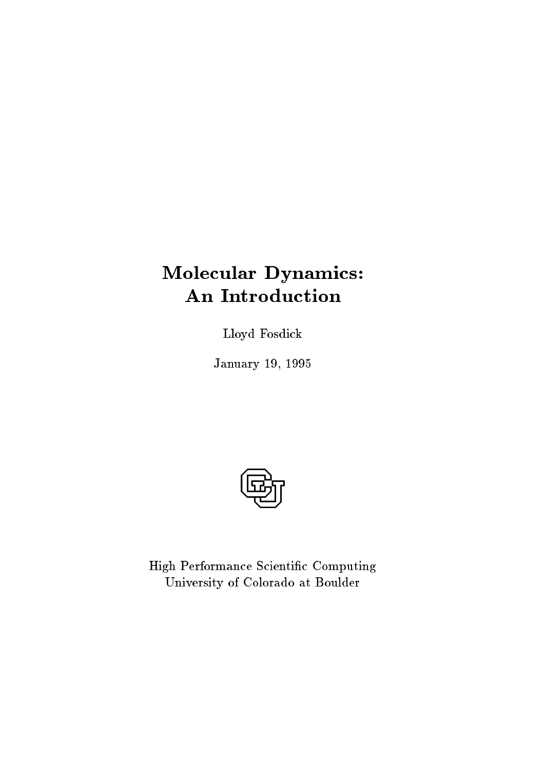# Molecular Dynamics: An Introduction

Lloyd Fosdick

January 19, <sup>1995</sup>



High Performance Scientic Computing University of Colorado at Boulder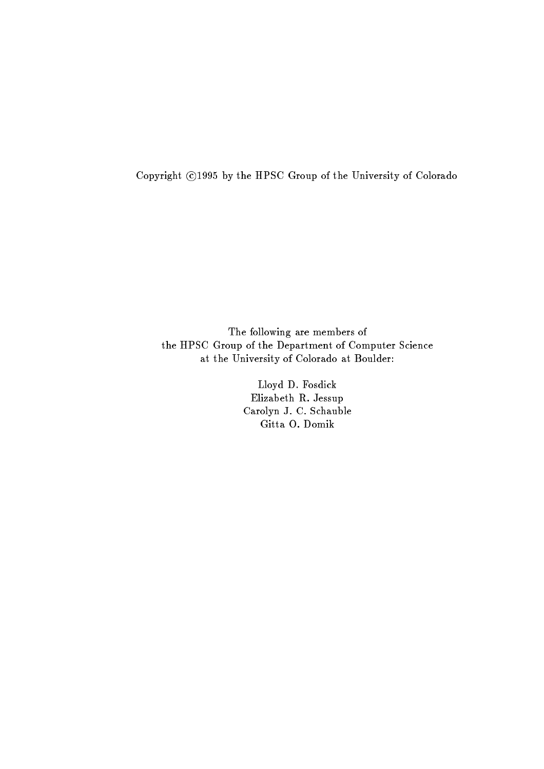Copyright C1995 by the HPSC Group of the University of Colorado

The following are members of the HPSC Group of the Department of Computer Science at the University of Colorado at Boulder:

> Lloyd D. Fosdick Elizabeth R. Jessup Carolyn J. C. Schauble Gitta O. Domik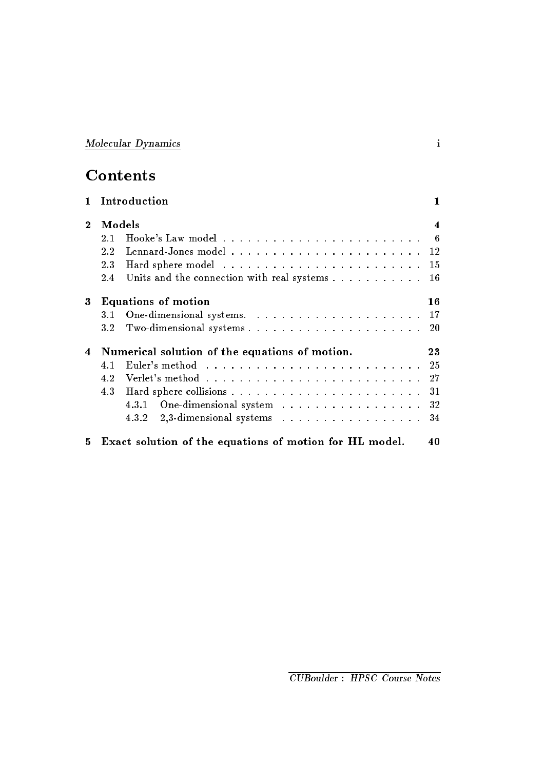| Molecular Dynamics |  |
|--------------------|--|
|                    |  |

| <b>Contents</b> |  |
|-----------------|--|
|-----------------|--|

| $\mathbf{1}$ |     | Introduction                                                   |                         |
|--------------|-----|----------------------------------------------------------------|-------------------------|
| $\bf{2}$     |     | Models                                                         | $\overline{\mathbf{4}}$ |
|              | 2.1 |                                                                | $-6$                    |
|              | 2.2 |                                                                | <sup>12</sup>           |
|              | 2.3 |                                                                | 15                      |
|              |     | 2.4 Units and the connection with real systems                 | 16                      |
| 3            |     | <b>Equations of motion</b>                                     | 16                      |
|              | 3.1 |                                                                | <sup>17</sup>           |
|              | 3.2 |                                                                | 20                      |
| 4            |     | Numerical solution of the equations of motion.                 | 23                      |
|              | 4.1 |                                                                | 25                      |
|              | 4.2 |                                                                | 27                      |
|              |     |                                                                |                         |
|              |     | One-dimensional system 32<br>431                               |                         |
|              |     |                                                                | 34                      |
| 5.           |     | <b>Exact solution of the equations of motion for HL model.</b> | 40                      |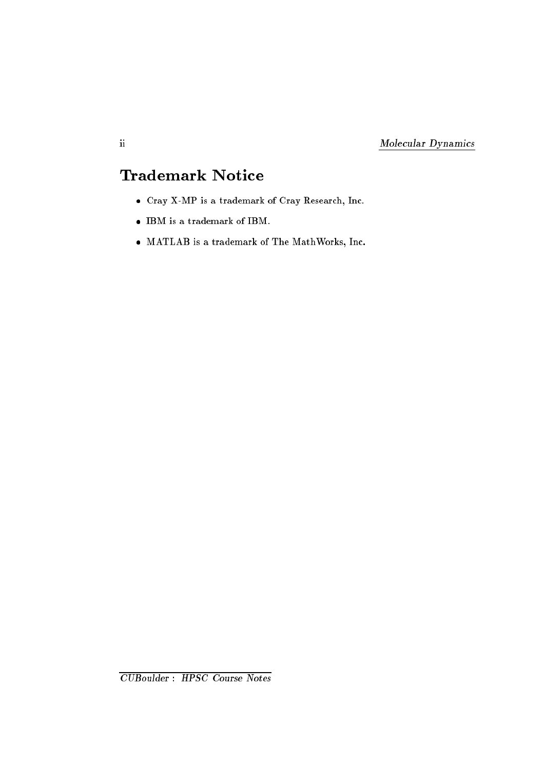# Trademark Notice

- Cray X-MP is a trademark of Cray Research, Inc.
- IBM is a trademark of IBM.
- MATLAB is a trademark of The MathWorks, Inc.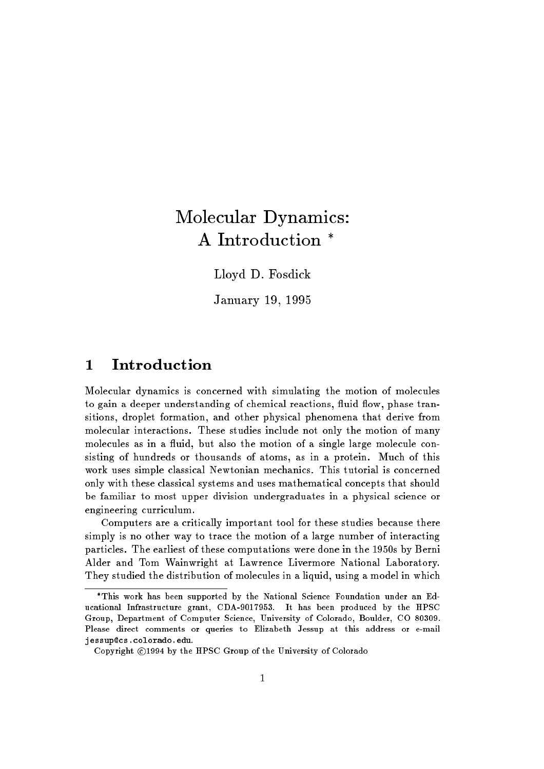# Molecular Dynamics: A Introduction  $*$

\_\_\_\_\_\_\_\_\_\_\_\_\_\_\_\_\_

January 19, <sup>1995</sup>

#### $\mathbf 1$ <sup>1</sup> Introduction

Molecular dynamics is concerned with simulating the motion of molecules to gain a deeper understanding of chemical reactions, fluid flow, phase transitions, droplet formation, and other physical phenomena that derive from molecular interactions. These studies include not only the motion of many molecules as in a fluid, but also the motion of a single large molecule consisting of hundreds or thousands of atoms, as in a protein. Much of this work uses simple classical Newtonian mechanics. This tutorial is concerned only with these classical systems and uses mathematical concepts that should be familiar to most upper division undergraduates in a physical science or engineering curriculum.

Computers are a critically important tool for these studies because there simply is no other way to trace the motion of a large number of interacting particles. The earliest of these computations were done in the 1950s by Berni Alder and Tom Wainwright at Lawrence Livermore National Laboratory. They studied the distribution of molecules in a liquid, using a model in which

This work has been supported by the National Science Foundation under an Educational Infrastructure grant, CDA-9017953. It has been produced by the HPSC Group, Department of Computer Science, University of Colorado, Boulder, CO 80309. Please direct comments or queries to Elizabeth Jessup at this address or e-mail jessup@cs.colorado.edu.

Copyright C1994 by the HPSC Group of the University of Colorado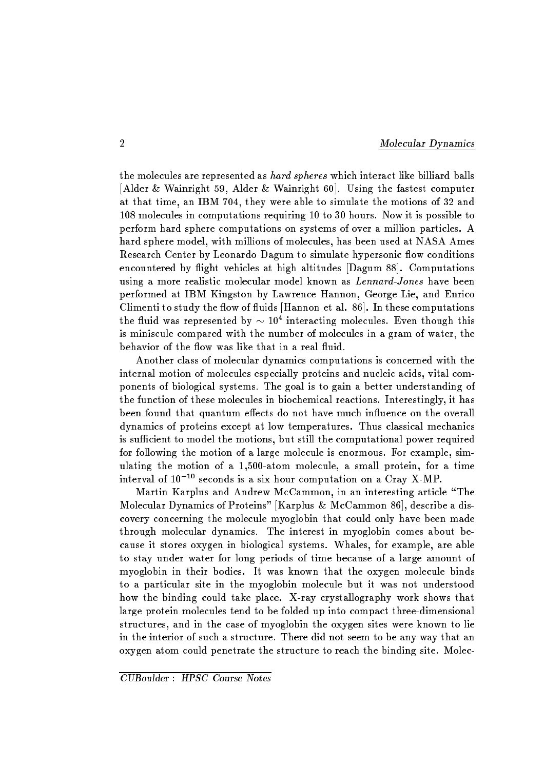the molecules are represented as hard spheres which interact like billiard balls [Alder & Wainright 59, Alder & Wainright 60]. Using the fastest computer at that time, an IBM 704, they were able to simulate the motions of 32 and 108 molecules in computations requiring 10 to 30 hours. Now it is possible to perform hard sphere computations on systems of over a million particles. A hard sphere model, with millions of molecules, has been used at NASA Ames Research Center by Leonardo Dagum to simulate hypersonic flow conditions encountered by ight vehicles at high altitudes [Dagum 88]. Computations using a more realistic molecular model known as *Lennard-Jones* have been performed at IBM Kingston by Lawrence Hannon, George Lie, and Enrico Climenti to study the flow of fluids [Hannon et al. 86]. In these computations the fiuld was represented by  $\sim$  10<sup>-</sup> interacting molecules. Even though this is miniscule compared with the number of molecules in a gram of water, the behavior of the flow was like that in a real fluid.

Another class of molecular dynamics computations is concerned with the internal motion of molecules especially proteins and nucleic acids, vital components of biological systems. The goal is to gain a better understanding of the function of these molecules in biochemical reactions. Interestingly, it has been found that quantum effects do not have much influence on the overall dynamics of proteins except at low temperatures. Thus classical mechanics is sufficient to model the motions, but still the computational power required for following the motion of a large molecule is enormous. For example, simulating the motion of a 1,500-atom molecule, a small protein, for a time interval of  $10^{-10}$  seconds is a six hour computation on a Cray X-MP.

Martin Karplus and Andrew McCammon, in an interesting article \The Molecular Dynamics of Proteins" [Karplus & McCammon 86], describe a discovery concerning the molecule myoglobin that could only have been made through molecular dynamics. The interest in myoglobin comes about because it stores oxygen in biological systems. Whales, for example, are able to stay under water for long periods of time because of a large amount of myoglobin in their bodies. It was known that the oxygen molecule binds to a particular site in the myoglobin molecule but it was not understood how the binding could take place. X-ray crystallography work shows that large protein molecules tend to be folded up into compact three-dimensional structures, and in the case of myoglobin the oxygen sites were known to lie in the interior of such a structure. There did not seem to be any way that an oxygen atom could penetrate the structure to reach the binding site. Molec-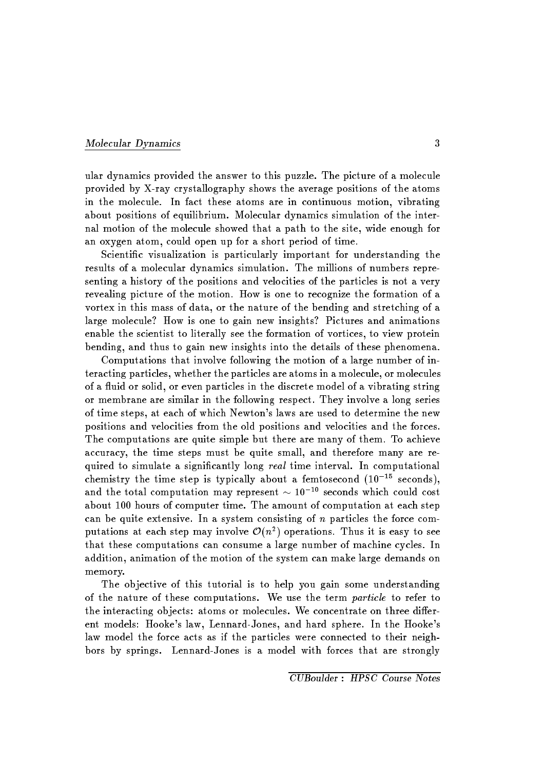ular dynamics provided the answer to this puzzle. The picture of a molecule provided by X-ray crystallography shows the average positions of the atoms in the molecule. In fact these atoms are in continuous motion, vibrating about positions of equilibrium. Molecular dynamics simulation of the internal motion of the molecule showed that a path to the site, wide enough for an oxygen atom, could open up for a short period of time.

Scientific visualization is particularly important for understanding the results of a molecular dynamics simulation. The millions of numbers representing a history of the positions and velocities of the particles is not a very revealing picture of the motion. How is one to recognize the formation of a vortex in this mass of data, or the nature of the bending and stretching of a large molecule? How is one to gain new insights? Pictures and animations enable the scientist to literally see the formation of vortices, to view protein bending, and thus to gain new insights into the details of these phenomena.

Computations that involve following the motion of a large number of interacting particles, whether the particles are atoms in a molecule, or molecules of a 
uid or solid, or even particles in the discrete model of a vibrating string or membrane are similar in the following respect. They involve a long series of time steps, at each of which Newton's laws are used to determine the new positions and velocities from the old positions and velocities and the forces. The computations are quite simple but there are many of them. To achieve accuracy, the time steps must be quite small, and therefore many are required to simulate a significantly long *real* time interval. In computational chemistry the time step is typically about a femtosecond  $(10^{-15}$  seconds), and the total computation may represent  $\sim 10^{-10}$  seconds which could cost about 100 hours of computer time. The amount of computation at each step can be quite extensive. In a system consisting of n particles the force computations at each step may involve  $O(n^2)$  operations. Thus it is easy to see that these computations can consume a large number of machine cycles. In addition, animation of the motion of the system can make large demands on memory.

The ob jective of this tutorial is to help you gain some understanding of the nature of these computations. We use the term particle to refer to the interacting objects: atoms or molecules. We concentrate on three different models: Hooke's law, Lennard-Jones, and hard sphere. In the Hooke's law model the force acts as if the particles were connected to their neighbors by springs. Lennard-Jones is a model with forces that are strongly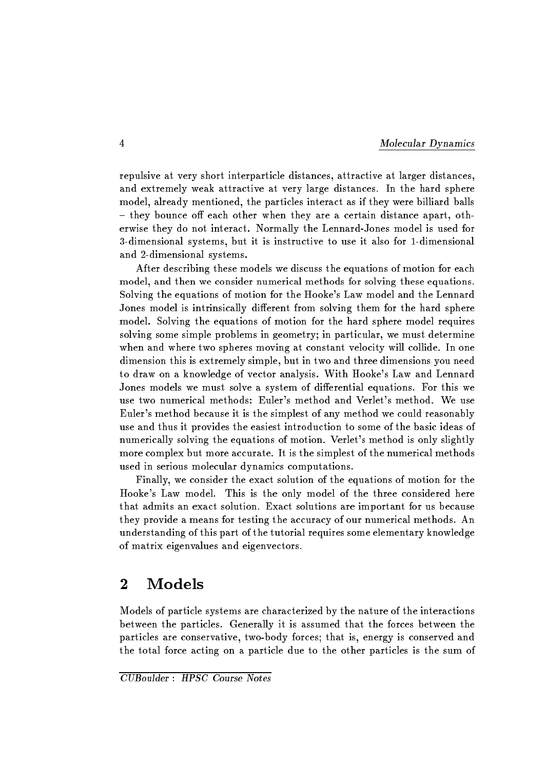repulsive at very short interparticle distances, attractive at larger distances, and extremely weak attractive at very large distances. In the hard sphere model, already mentioned, the particles interact as if they were billiard balls  $-$  they bounce off each other when they are a certain distance apart, otherwise they do not interact. Normally the Lennard-Jones model is used for 3-dimensional systems, but it is instructive to use it also for 1-dimensional and 2-dimensional systems.

After describing these models we discuss the equations of motion for each model, and then we consider numerical methods for solving these equations. Solving the equations of motion for the Hooke's Law model and the Lennard Jones model is intrinsically different from solving them for the hard sphere model. Solving the equations of motion for the hard sphere model requires solving some simple problems in geometry; in particular, we must determine when and where two spheres moving at constant velocity will collide. In one dimension this is extremely simple, but in two and three dimensions you need to draw on a knowledge of vector analysis. With Hooke's Law and Lennard Jones models we must solve a system of differential equations. For this we use two numerical methods: Euler's method and Verlet's method. We use Euler's method because it is the simplest of any method we could reasonably use and thus it provides the easiest introduction to some of the basic ideas of numerically solving the equations of motion. Verlet's method is only slightly more complex but more accurate. It is the simplest of the numerical methods used in serious molecular dynamics computations.

Finally, we consider the exact solution of the equations of motion for the Hooke's Law model. This is the only model of the three considered here that admits an exact solution. Exact solutions are important for us because they provide a means for testing the accuracy of our numerical methods. An understanding of this part of the tutorial requires some elementary knowledge of matrix eigenvalues and eigenvectors.

Models of particle systems are characterized by the nature of the interactions between the particles. Generally it is assumed that the forces between the particles are conservative, two-body forces; that is, energy is conserved and the total force acting on a particle due to the other particles is the sum of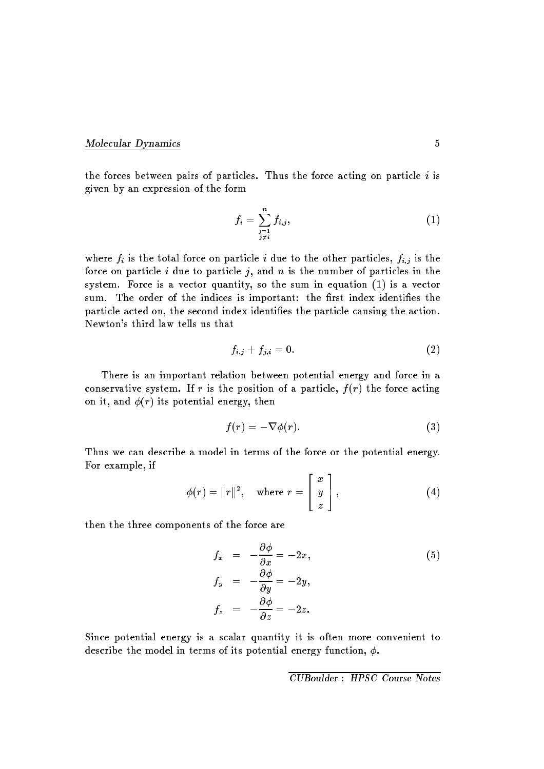the forces between pairs of particles. Thus the force acting on particle  $i$  is given by an expression of the form

$$
f_i = \sum_{\substack{j=1 \ j \neq i}}^n f_{i,j},\tag{1}
$$

where  $f_i$  is the total force on particle i due to the other particles,  $f_{i,j}$  is the force on particle  $i$  due to particle  $j$ , and  $n$  is the number of particles in the system. Force is a vector quantity, so the sum in equation (1) is a vector sum. The order of the indices is important: the first index identifies the particle acted on, the second index identifies the particle causing the action. Newton's third law tells us that

$$
f_{i,j}+f_{j,i}=0.\t\t(2)
$$

There is an important relation between potential energy and force in a conservative system. If r is the position of a particle,  $f(r)$  the force acting on it, and  $\phi(r)$  its potential energy, then

$$
f(r) = -\nabla \phi(r). \tag{3}
$$

<sup>3</sup>

Thus we can describe a model in terms of the force or the potential energy. For example, if

$$
\phi(r) = ||r||^2, \quad \text{where } r = \left[ \begin{array}{c} x \\ y \\ z \end{array} \right], \tag{4}
$$

<sup>2</sup>

then the three components of the force are

$$
f_x = -\frac{\partial \phi}{\partial x} = -2x,
$$
  
\n
$$
f_y = -\frac{\partial \phi}{\partial y} = -2y,
$$
  
\n
$$
f_z = -\frac{\partial \phi}{\partial z} = -2z.
$$
\n(5)

Since potential energy is a scalar quantity it is often more convenient to describe the model in terms of its potential energy function,  $\phi$ .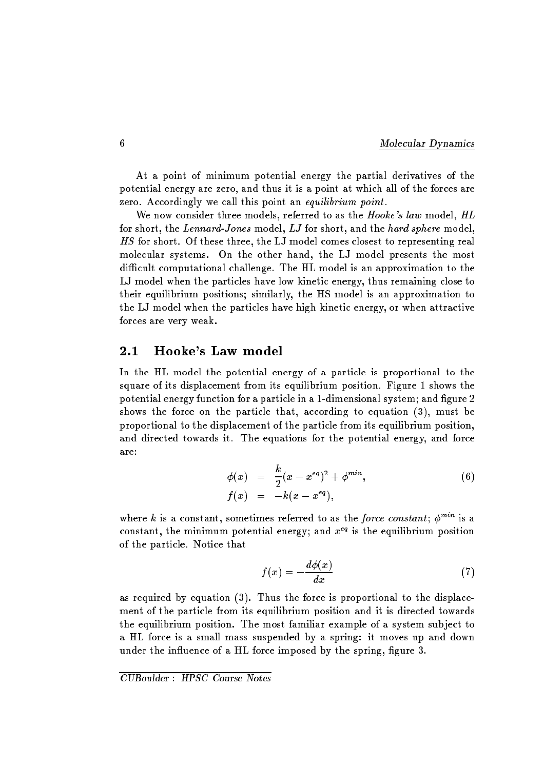At a point of minimum potential energy the partial derivatives of the potential energy are zero, and thus it is a point at which all of the forces are zero. Accordingly we call this point an equilibrium point.

We now consider three models, referred to as the Hooke's law model, HL for short, the Lennard-Jones model,  $LJ$  for short, and the hard sphere model, HS for short. Of these three, the LJ model comes closest to representing real molecular systems. On the other hand, the LJ model presents the most difficult computational challenge. The HL model is an approximation to the LJ model when the particles have low kinetic energy, thus remaining close to their equilibrium positions; similarly, the HS model is an approximation to the LJ model when the particles have high kinetic energy, or when attractive forces are very weak.

#### 2.1 Hooke's Law model

In the HL model the potential energy of a particle is proportional to the square of its displacement from its equilibrium position. Figure 1 shows the potential energy function for a particle in a 1-dimensional system; and figure 2 shows the force on the particle that, according to equation (3), must be proportional to the displacement of the particle from its equilibrium position, and directed towards it. The equations for the potential energy, and force are:

$$
\begin{array}{rcl}\n\phi(x) & = & \frac{k}{2}(x - x^{eq})^2 + \phi^{min}, \\
f(x) & = & -k(x - x^{eq}),\n\end{array} \tag{6}
$$

where k is a constant, sometimes referred to as the *force constant*;  $\phi^{min}$  is a constant, the minimum potential energy; and  $x^{eq}$  is the equilibrium position of the particle. Notice that

$$
f(x) = -\frac{d\phi(x)}{dx} \tag{7}
$$

as required by equation (3). Thus the force is proportional to the displacement of the particle from its equilibrium position and it is directed towards the equilibrium position. The most familiar example of a system subject to a HL force is a small mass suspended by a spring: it moves up and down under the influence of a HL force imposed by the spring, figure 3.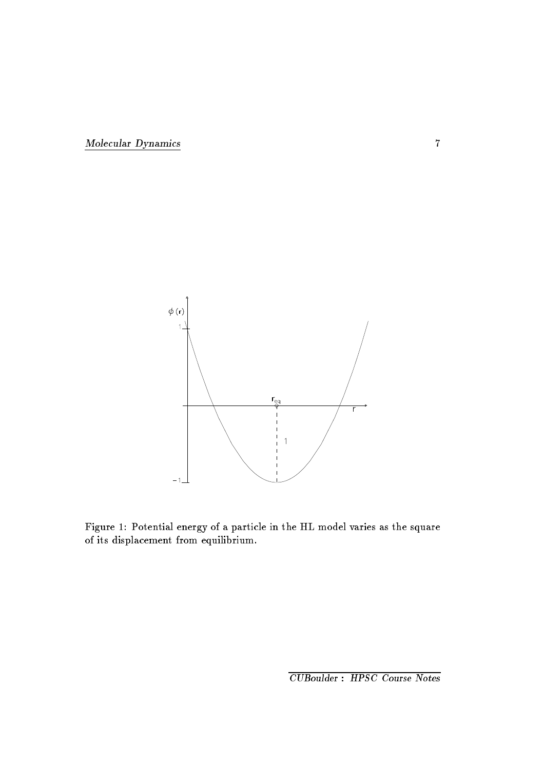

Figure 1: Potential energy of a particle in the HL model varies as the square of its displacement from equilibrium.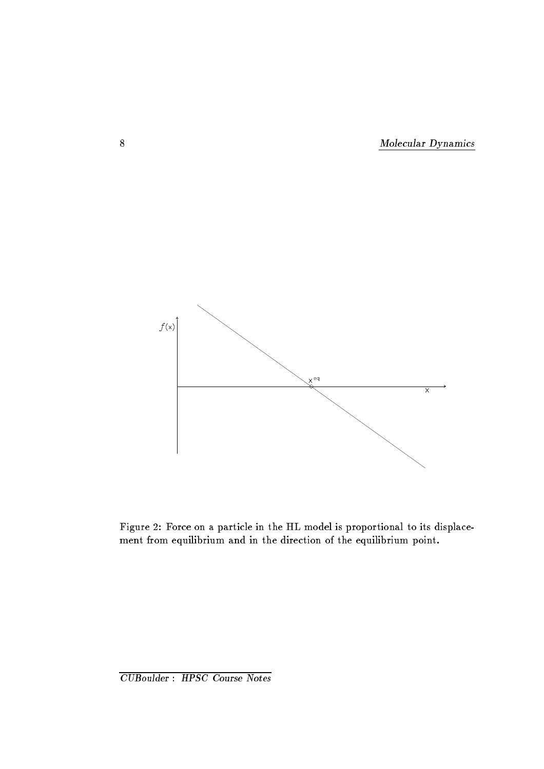

Figure 2: Force on a particle in the HL model is proportional to its displacement from equilibrium and in the direction of the equilibrium point.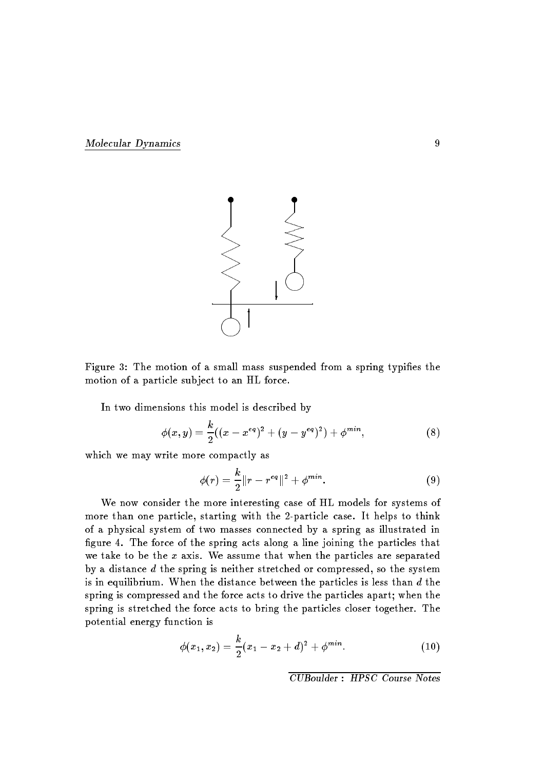

Figure 3: The motion of a small mass suspended from a spring typifies the motion of a particle subject to an HL force.

In two dimensions this model is described by

$$
\phi(x,y) = \frac{k}{2}((x - x^{eq})^2 + (y - y^{eq})^2) + \phi^{min}, \qquad (8)
$$

which we may write more compactly as

$$
\phi(r) = \frac{k}{2} \|r - r^{eq}\|^2 + \phi^{min}.
$$
 (9)

We now consider the more interesting case of HL models for systems of more than one particle, starting with the 2-particle case. It helps to think of a physical system of two masses connected by a spring as illustrated in figure 4. The force of the spring acts along a line joining the particles that we take to be the  $x$  axis. We assume that when the particles are separated by a distance d the spring is neither stretched or compressed, so the system is in equilibrium. When the distance between the particles is less than  $d$  the spring is compressed and the force acts to drive the particles apart; when the spring is stretched the force acts to bring the particles closer together. The potential energy function is

$$
\phi(x_1,x_2)=\frac{k}{2}(x_1-x_2+d)^2+\phi^{min}.
$$
 (10)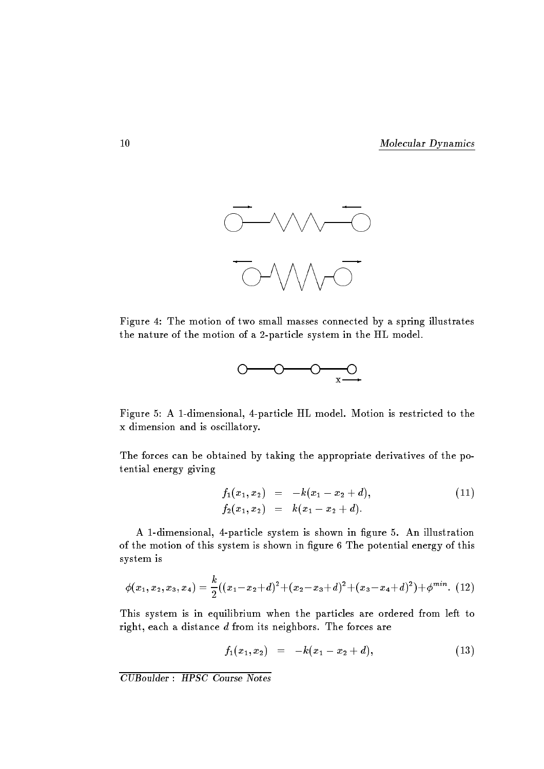

Figure 4: The motion of two small masses connected by a spring illustrates the nature of the motion of a 2-particle system in the HL model.



Figure 5: A 1-dimensional, 4-particle HL model. Motion is restricted to the x dimension and is oscillatory.

The forces can be obtained by taking the appropriate derivatives of the potential energy giving

$$
f_1(x_1,x_2) = -k(x_1-x_2+d), \n f_2(x_1,x_2) = k(x_1-x_2+d).
$$
\n(11)

A 1-dimensional, 4-particle system is shown in figure 5. An illustration of the motion of this system is shown in gure 6 The potential energy of this system is

$$
\phi(x_1, x_2, x_3, x_4) = \frac{k}{2}((x_1 - x_2 + d)^2 + (x_2 - x_3 + d)^2 + (x_3 - x_4 + d)^2) + \phi^{min}.
$$
 (12)

This system is in equilibrium when the particles are ordered from left to right, each a distance  $d$  from its neighbors. The forces are

$$
f_1(x_1,x_2) = -k(x_1-x_2+d), \qquad (13)
$$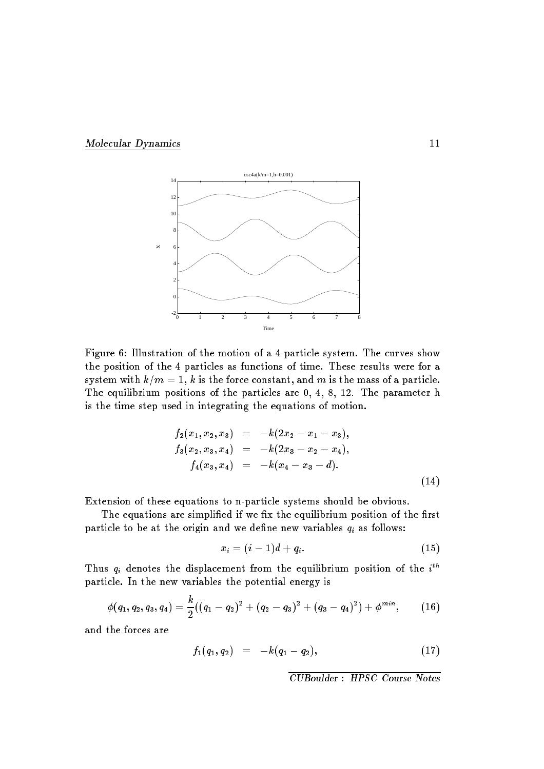

Figure 6: Illustration of the motion of a 4-particle system. The curves show the position of the 4 particles as functions of time. These results were for a system with  $k/m = 1$ , k is the force constant, and m is the mass of a particle. The equilibrium positions of the particles are 0, 4, 8, 12. The parameter h is the time step used in integrating the equations of motion.

$$
f_2(x_1, x_2, x_3) = -k(2x_2 - x_1 - x_3),
$$
  
\n
$$
f_3(x_2, x_3, x_4) = -k(2x_3 - x_2 - x_4),
$$
  
\n
$$
f_4(x_3, x_4) = -k(x_4 - x_3 - d).
$$
\n(14)

Extension of these equations to n-particle systems should be obvious.

The equations are simplified if we fix the equilibrium position of the first particle to be at the origin and we define new variables  $q_i$  as follows:

$$
x_i = (i-1)d + q_i. \tag{15}
$$

Thus  $q_i$  denotes the displacement from the equilibrium position of the  $i^{tn}$ particle. In the new variables the potential energy is

$$
\phi(q_1,q_2,q_3,q_4)=\frac{k}{2}((q_1-q_2)^2+(q_2-q_3)^2+(q_3-q_4)^2)+\phi^{min},\qquad (16)
$$

and the forces are

$$
f_1(q_1,q_2) = -k(q_1-q_2), \qquad (17)
$$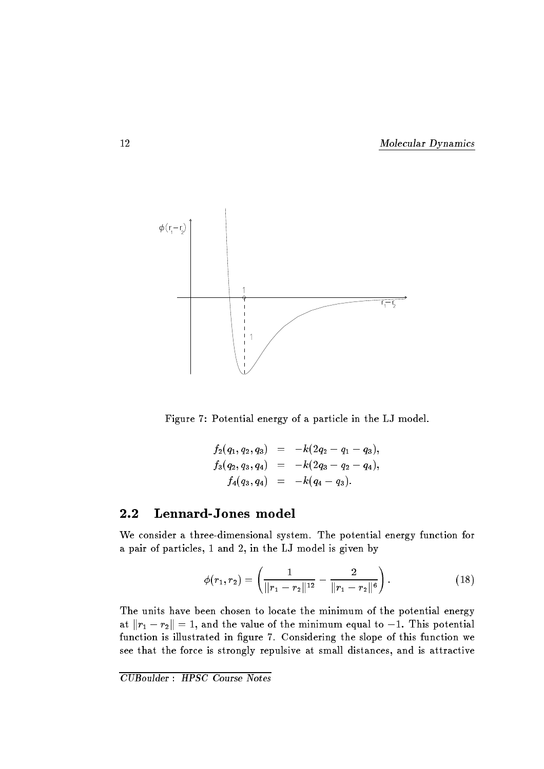

Figure 7: Potential energy of a particle in the LJ model.

 $f_2(q_1, q_2, q_3) = -k(2q_2 - q_1 - q_3),$  $f_3(q_2,q_3,q_4) \;\; = \;\; -k(2q_3-q_2-q_4),$  $f_4(q_3,q_4) = -k(q_4-q_3).$ 

#### 2.2 Lennard-Jones model

We consider a three-dimensional system. The potential energy function for a pair of particles, 1 and 2, in the LJ model is given by

$$
\phi(r_1,r_2)=\left(\frac{1}{\|r_1-r_2\|^{12}}-\frac{2}{\|r_1-r_2\|^6}\right).
$$
\n(18)

The units have been chosen to locate the minimum of the potential energy at  $||r_1 - r_2|| = 1$ , and the value of the minimum equal to -1. This potential function is illustrated in figure 7. Considering the slope of this function we see that the force is strongly repulsive at small distances, and is attractive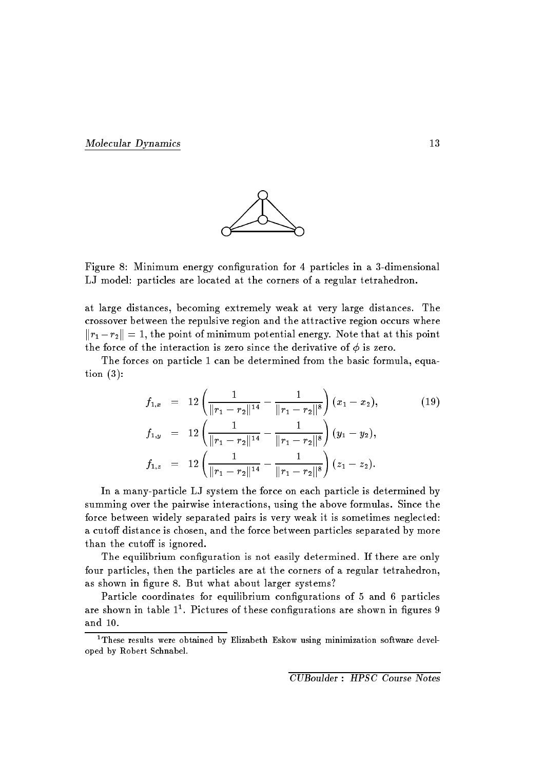

Figure 8: Minimum energy conguration for 4 particles in a 3-dimensional LJ model: particles are located at the corners of a regular tetrahedron.

at large distances, becoming extremely weak at very large distances. The crossover between the repulsive region and the attractive region occurs where  $||r_1-r_2||=1$ , the point of minimum potential energy. Note that at this point the force of the interaction is zero since the derivative of  $\phi$  is zero.

The forces on particle 1 can be determined from the basic formula, equation  $(3)$ :

$$
f_{1,x} = 12\left(\frac{1}{\|r_1 - r_2\|^{14}} - \frac{1}{\|r_1 - r_2\|^8}\right)(x_1 - x_2),
$$
\n
$$
f_{1,y} = 12\left(\frac{1}{\|x_1 - x_2\|^{14}} - \frac{1}{\|x_1 - x_2\|^{8}}\right)(y_1 - y_2),
$$
\n(19)

$$
f_{1,z} = 12 \left( \frac{1}{\|r_1 - r_2\|^{14}} - \frac{1}{\|r_1 - r_2\|^8} \right) \frac{(31 - 32)}{(21 - 32)}.
$$

In a many-particle LJ system the force on each particle is determined by summing over the pairwise interactions, using the above formulas. Since the force between widely separated pairs is very weak it is sometimes neglected: a cutoff distance is chosen, and the force between particles separated by more than the cutoff is ignored.

The equilibrium configuration is not easily determined. If there are only four particles, then the particles are at the corners of a regular tetrahedron, as shown in figure 8. But what about larger systems?

Particle coordinates for equilibrium configurations of 5 and 6 particles are shown in table 11 . Pictures of these congurations are shown in gures 9 and 10.

<sup>1</sup> These results were obtained by Elizabeth Eskow using minimization software developed by Robert Schnabel.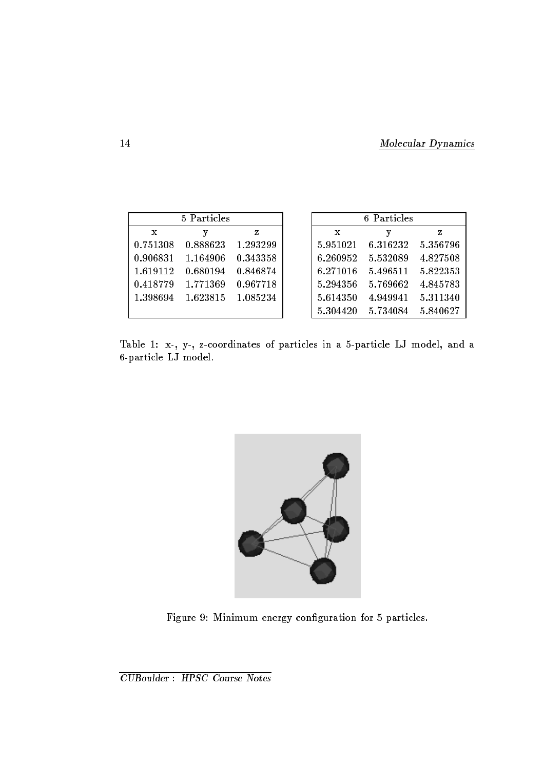|              | 5 Particles |          |          | 6 Particles |          |
|--------------|-------------|----------|----------|-------------|----------|
| $\mathbf{x}$ | v           | z        | X        |             | z        |
| 0.751308     | 0.888623    | 1.293299 | 5.951021 | 6.316232    | 5.356796 |
| 0.906831     | 1.164906    | 0.343358 | 6.260952 | 5.532089    | 4.827508 |
| 1.619112     | 0.680194    | 0.846874 | 6.271016 | 5.496511    | 5.822353 |
| 0.418779     | 1.771369    | 0.967718 | 5.294356 | 5.769662    | 4.845783 |
| 1398694      | 1.623815    | 1.085234 | 5.614350 | 4.949941    | 5.311340 |
|              |             |          | 5.304420 | 5.734084    | 5.840627 |

Table 1: x-, y-, z-coordinates of particles in a 5-particle LJ model, and a 6-particle LJ model.



Figure 9: Minimum energy configuration for 5 particles.

CUBoulder : HPSC Course Notes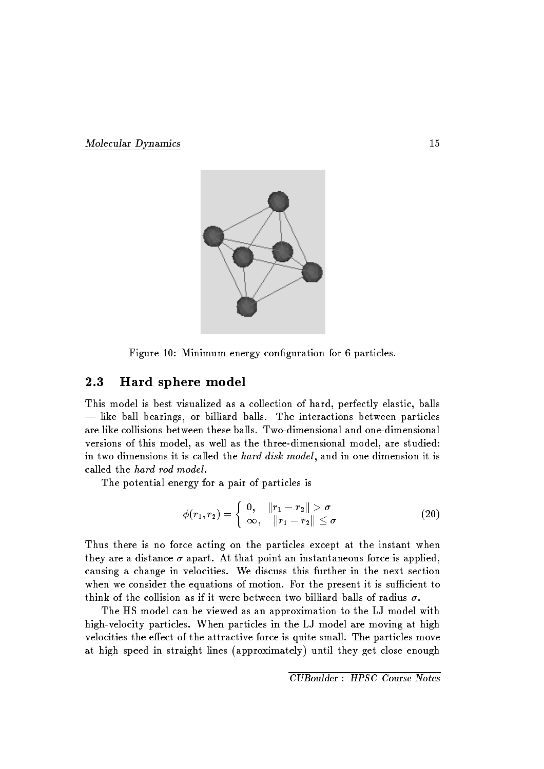

Figure 10: Minimum energy configuration for 6 particles.

# 2.3 Hard sphere model

This model is best visualized as a collection of hard, perfectly elastic, balls  $\frac{1}{k}$  like ball bearings, or billiard balls. The interactions between particles are like collisions between these balls. Two-dimensional and one-dimensional versions of this model, as well as the three-dimensional model, are studied: in two dimensions it is called the *hard disk model*, and in one dimension it is called the hard rod model.

The potential energy for a pair of particles is

$$
\phi(r_1, r_2) = \begin{cases} 0, & \|r_1 - r_2\| > \sigma \\ \infty, & \|r_1 - r_2\| \le \sigma \end{cases}
$$
 (20)

Thus there is no force acting on the particles except at the instant when they are a distance  $\sigma$  apart. At that point an instantaneous force is applied, causing a change in velocities. We discuss this further in the next section when we consider the equations of motion. For the present it is sufficient to think of the collision as if it were between two billiard balls of radius  $\sigma$ .

The HS model can be viewed as an approximation to the LJ model with high-velocity particles. When particles in the LJ model are moving at high velocities the effect of the attractive force is quite small. The particles move at high speed in straight lines (approximately) until they get close enough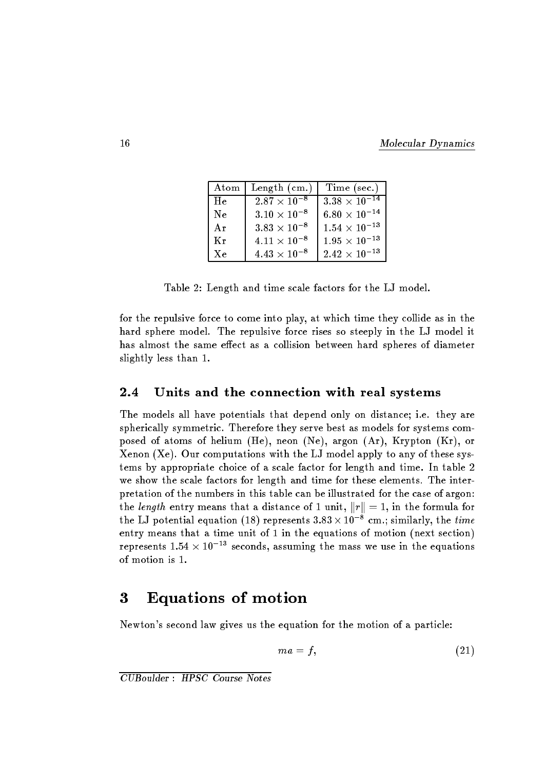| Atom | Length $(cm.)$        | Time (sec.)            |
|------|-----------------------|------------------------|
| He   | $2.87 \times 10^{-8}$ | $3.38 \times 10^{-14}$ |
| Ne   | $3.10 \times 10^{-8}$ | $6.80 \times 10^{-14}$ |
| Ar   | $3.83 \times 10^{-8}$ | $1.54 \times 10^{-13}$ |
| Кr   | $4.11 \times 10^{-8}$ | $1.95 \times 10^{-13}$ |
| Xe   | $4.43 \times 10^{-8}$ | $2.42 \times 10^{-13}$ |

Table 2: Length and time scale factors for the LJ model.

for the repulsive force to come into play, at which time they collide as in the hard sphere model. The repulsive force rises so steeply in the LJ model it has almost the same effect as a collision between hard spheres of diameter slightly less than 1.

#### 2.4 Units and the connection with real systems

The models all have potentials that depend only on distance; i.e. they are spherically symmetric. Therefore they serve best as models for systems composed of atoms of helium (He), neon (Ne), argon (Ar), Krypton (Kr), or Xenon (Xe). Our computations with the LJ model apply to any of these systems by appropriate choice of a scale factor for length and time. In table 2 we show the scale factors for length and time for these elements. The interpretation of the numbers in this table can be illustrated for the case of argon: the length entry means that a distance of 1 unit,  $||r|| = 1$ , in the formula for the LJ potential equation (18) represents 3.83  $\times$  10  $^{-1}$  cm.; similarly, the time entry means that a time unit of 1 in the equations of motion (next section) represents 1.54  $\times$  10  $^{-1}$  seconds, assuming the mass we use in the equations of motion is 1.

#### $\bf{3}$ <sup>3</sup> Equations of motion

Newton's second law gives us the equation for the motion of a particle:

$$
ma = f,\tag{21}
$$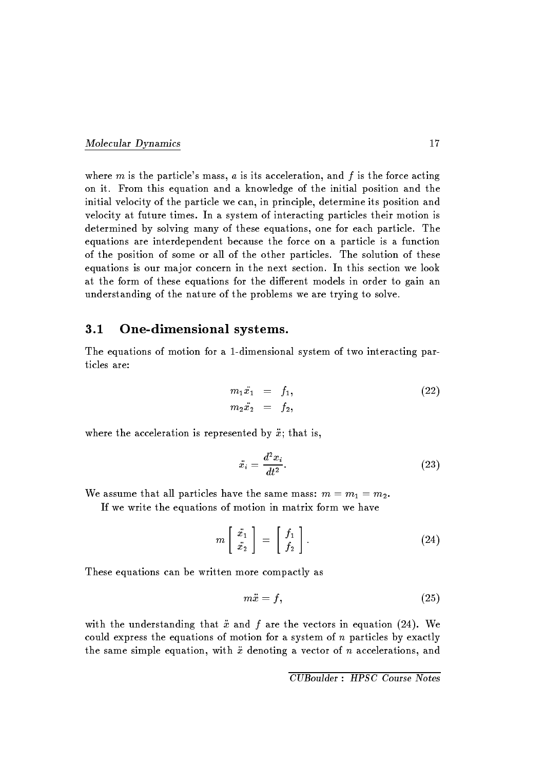where m is the particle's mass,  $a$  is its acceleration, and  $f$  is the force acting on it. From this equation and a knowledge of the initial position and the initial velocity of the particle we can, in principle, determine its position and velocity at future times. In a system of interacting particles their motion is determined by solving many of these equations, one for each particle. The equations are interdependent because the force on a particle is a function of the position of some or all of the other particles. The solution of these equations is our major concern in the next section. In this section we look at the form of these equations for the different models in order to gain an understanding of the nature of the problems we are trying to solve.

### 3.1 One-dimensional systems.

The equations of motion for a 1-dimensional system of two interacting particles are:

$$
m_1 \ddot{x}_1 = f_1, m_2 \ddot{x}_2 = f_2,
$$
 (22)

where the acceleration is represented by  $\ddot{x}$ ; that is,

$$
\ddot{x_i} = \frac{d^2 x_i}{dt^2}.\tag{23}
$$

We assume that all particles have the same mass:  $m = m_1 = m_2$ .

If we write the equations of motion in matrix form we have

$$
m\left[\begin{array}{c}\ddot{x}_1\\\ddot{x}_2\end{array}\right]=\left[\begin{array}{c}f_1\\f_2\end{array}\right].\tag{24}
$$

These equations can be written more compactly as

$$
m\ddot{x} = f,\tag{25}
$$

with the understanding that  $\ddot{x}$  and  $f$  are the vectors in equation (24). We could express the equations of motion for a system of  $n$  particles by exactly the same simple equation, with  $\ddot{x}$  denoting a vector of n accelerations, and

CUBoulder : HPSC Course Notes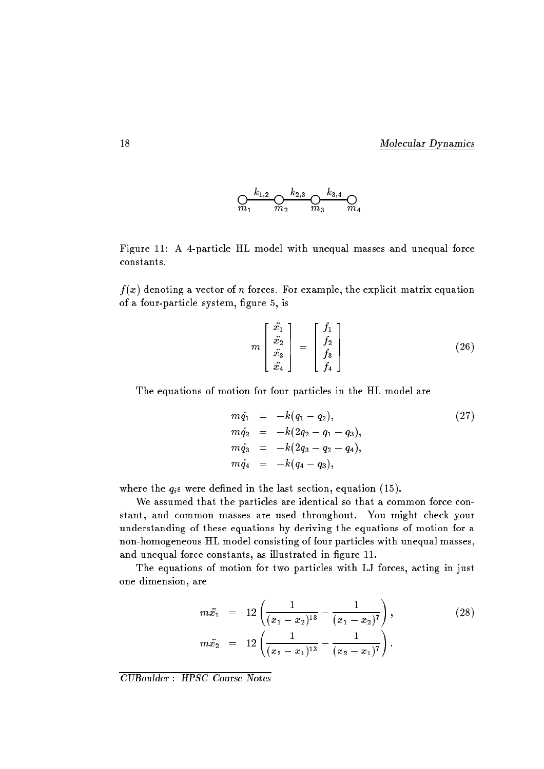

Figure 11: A 4-particle HL model with unequal masses and unequal force constants.

 $f(x)$  denoting a vector of n forces. For example, the explicit matrix equation of a four-particle system, figure 5, is

$$
m\begin{bmatrix} \ddot{x}_1 \\ \ddot{x}_2 \\ \ddot{x}_3 \\ \ddot{x}_4 \end{bmatrix} = \begin{bmatrix} f_1 \\ f_2 \\ f_3 \\ f_4 \end{bmatrix}
$$
 (26)

The equations of motion for four particles in the HL model are

$$
m\ddot{q}_1 = -k(q_1 - q_2),
$$
  
\n
$$
m\ddot{q}_2 = -k(2q_2 - q_1 - q_3),
$$
  
\n
$$
m\ddot{q}_3 = -k(2q_3 - q_2 - q_4),
$$
  
\n
$$
m\ddot{q}_4 = -k(q_4 - q_3),
$$
  
\n(27)

where the  $q_i$ s were defined in the last section, equation (15).

We assumed that the particles are identical so that a common force constant, and common masses are used throughout. You might check your understanding of these equations by deriving the equations of motion for a non-homogeneous HL model consisting of four particles with unequal masses, and unequal force constants, as illustrated in figure 11.

The equations of motion for two particles with LJ forces, acting in just one dimension, are

$$
m\ddot{x}_1 = 12\left(\frac{1}{(x_1 - x_2)^{13}} - \frac{1}{(x_1 - x_2)^7}\right),
$$
\n
$$
m\ddot{x}_2 = 12\left(\frac{1}{(x_2 - x_1)^{13}} - \frac{1}{(x_2 - x_1)^7}\right).
$$
\n(28)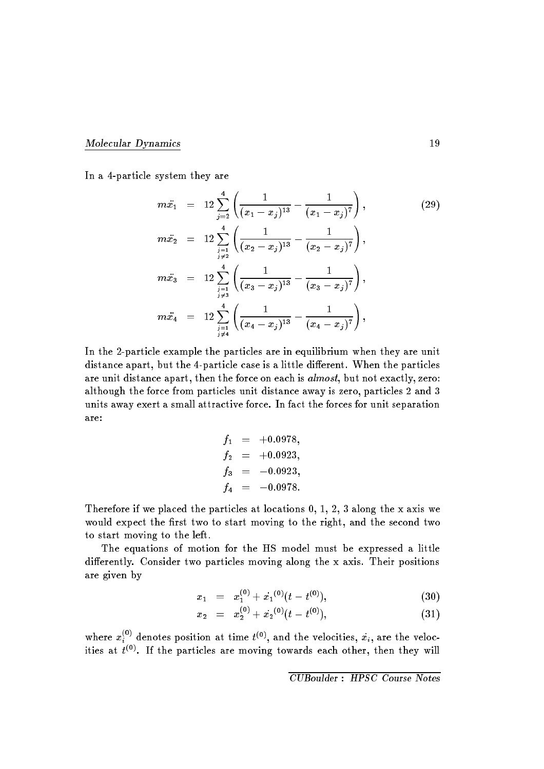In a 4-particle system they are

$$
m\ddot{x}_1 = 12 \sum_{j=2}^4 \left( \frac{1}{(x_1 - x_j)^{13}} - \frac{1}{(x_1 - x_j)^7} \right),
$$
\n
$$
m\ddot{x}_2 = 12 \sum_{\substack{j=1 \ j \neq 2}}^4 \left( \frac{1}{(x_2 - x_j)^{13}} - \frac{1}{(x_2 - x_j)^7} \right),
$$
\n
$$
m\ddot{x}_3 = 12 \sum_{\substack{j=1 \ j \neq 3}}^4 \left( \frac{1}{(x_3 - x_j)^{13}} - \frac{1}{(x_3 - x_j)^7} \right),
$$
\n
$$
m\ddot{x}_4 = 12 \sum_{\substack{j=1 \ j \neq 4}}^4 \left( \frac{1}{(x_4 - x_j)^{13}} - \frac{1}{(x_4 - x_j)^7} \right),
$$
\n(29)

In the 2-particle example the particles are in equilibrium when they are unit distance apart, but the 4-particle case is a little different. When the particles are unit distance apart, then the force on each is almost, but not exactly, zero: although the force from particles unit distance away is zero, particles 2 and 3 units away exert a small attractive force. In fact the forces for unit separation are:

$$
f_1 = +0.0978,
$$
  
\n
$$
f_2 = +0.0923,
$$
  
\n
$$
f_3 = -0.0923,
$$
  
\n
$$
f_4 = -0.0978.
$$

Therefore if we placed the particles at locations  $0, 1, 2, 3$  along the x axis we would expect the first two to start moving to the right, and the second two to start moving to the left.

The equations of motion for the HS model must be expressed a little differently. Consider two particles moving along the x axis. Their positions are given by

$$
x_1 = x_1^{(0)} + \dot{x}_1^{(0)}(t - t^{(0)}), \qquad (30)
$$

$$
x_2 = x_2^{(0)} + x_2^{(0)}(t - t^{(0)}), \qquad (31)
$$

where  $x_i^{(0)}$  denotes position at time  $t^{(0)}$ , and the velocities,  $\dot{x}_i$ , are the velocities at  $t^{(0)}$ . If the particles are moving towards each other, then they will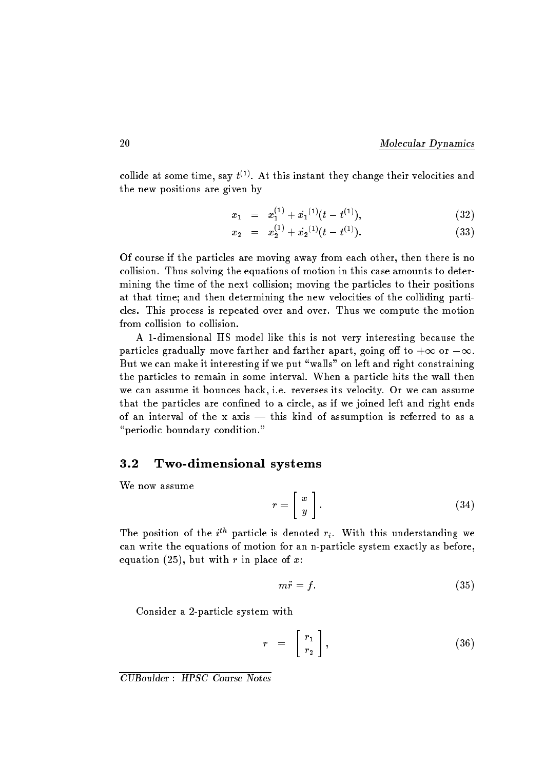collide at some time, say  $t^{(1)}$ . At this instant they change their velocities and the new positions are given by

$$
x_1 = x_1^{(1)} + x_1^{(1)}(t - t^{(1)}), \t\t(32)
$$

$$
x_2 = x_2^{(1)} + x_2^{(1)}(t - t^{(1)}).
$$
 (33)

Of course if the particles are moving away from each other, then there is no collision. Thus solving the equations of motion in this case amounts to determining the time of the next collision; moving the particles to their positions at that time; and then determining the new velocities of the colliding particles. This process is repeated over and over. Thus we compute the motion from collision to collision.

A 1-dimensional HS model like this is not very interesting because the particles gradually move farther and farther apart, going off to  $+\infty$  or  $-\infty$ . But we can make it interesting if we put \walls" on left and right constraining the particles to remain in some interval. When a particle hits the wall then we can assume it bounces back, i.e. reverses its velocity. Or we can assume that the particles are confined to a circle, as if we joined left and right ends of an interval of the  $x$  axis  $-$  this kind of assumption is referred to as a "periodic boundary condition."

#### 3.2 Two-dimensional systems

We now assume

$$
r = \left[ \begin{array}{c} x \\ y \end{array} \right]. \tag{34}
$$

The position of the  $i^{th}$  particle is denoted  $r_i$ . With this understanding we can write the equations of motion for an n-particle system exactly as before, equation (25), but with r in place of x:

$$
m\ddot{r} = f. \tag{35}
$$

Consider a 2-particle system with

$$
r = \begin{bmatrix} r_1 \\ r_2 \end{bmatrix}, \tag{36}
$$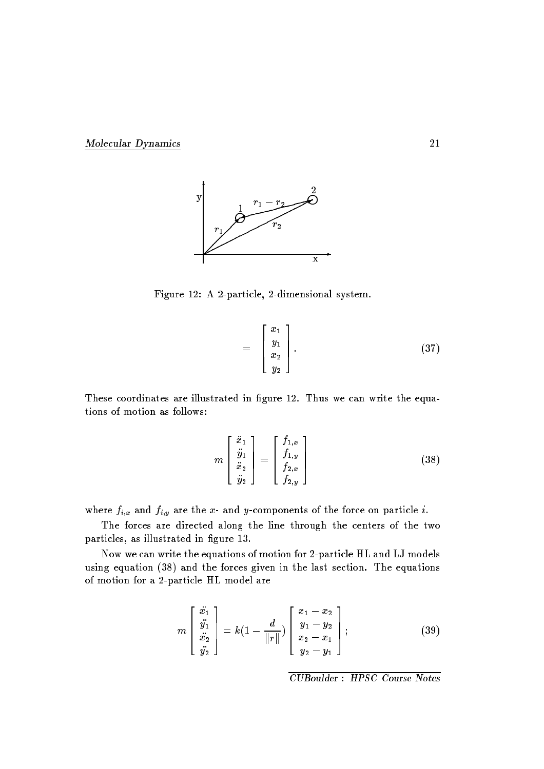

Figure 12: A 2-particle, 2-dimensional system.

$$
= \begin{bmatrix} x_1 \\ y_1 \\ x_2 \\ y_2 \end{bmatrix} . \tag{37}
$$

These coordinates are illustrated in figure 12. Thus we can write the equations of motion as follows:

$$
m\begin{bmatrix} \ddot{x}_1 \\ \ddot{y}_1 \\ \ddot{x}_2 \\ \ddot{y}_2 \end{bmatrix} = \begin{bmatrix} f_{1,x} \\ f_{1,y} \\ f_{2,x} \\ f_{2,y} \end{bmatrix}
$$
 (38)

where  $f_{i,x}$  and  $f_{i,y}$  are the x- and y-components of the force on particle i.

The forces are directed along the line through the centers of the two particles, as illustrated in figure 13.

Now we can write the equations of motion for 2-particle HL and LJ models using equation (38) and the forces given in the last section. The equations of motion for a 2-particle HL model are

$$
m\left[\begin{array}{c} \ddot{x_1} \\ \ddot{y_1} \\ \ddot{x_2} \\ \ddot{y_2} \end{array}\right] = k(1 - \frac{d}{\|r\|}) \left[\begin{array}{c} x_1 - x_2 \\ y_1 - y_2 \\ x_2 - x_1 \\ y_2 - y_1 \end{array}\right];
$$
(39)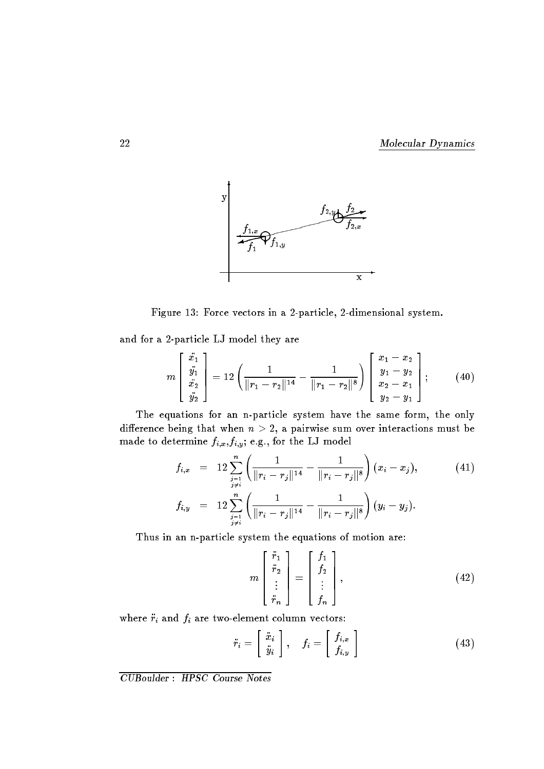

Figure 13: Force vectors in a 2-particle, 2-dimensional system.

and for a 2-particle LJ model they are

$$
m\begin{bmatrix} \ddot{x}_1 \\ \ddot{y}_1 \\ \ddot{x}_2 \\ \ddot{y}_2 \end{bmatrix} = 12 \left( \frac{1}{\|r_1 - r_2\|^{14}} - \frac{1}{\|r_1 - r_2\|^8} \right) \begin{bmatrix} x_1 - x_2 \\ y_1 - y_2 \\ x_2 - x_1 \\ y_2 - y_1 \end{bmatrix}; \quad (40)
$$

The equations for an n-particle system have the same form, the only difference being that when  $n > 2$ , a pairwise sum over interactions must be made to determine  $f_{i,x},f_{i,y}$ ; e.g., for the LJ model

$$
f_{i,x} = 12 \sum_{\substack{j=1 \ j \neq i}}^{n} \left( \frac{1}{\|r_i - r_j\|^{14}} - \frac{1}{\|r_i - r_j\|^8} \right) (x_i - x_j), \qquad (41)
$$
  

$$
f_{i,y} = 12 \sum_{\substack{j=1 \ j \neq i}}^{n} \left( \frac{1}{\|r_i - r_j\|^{14}} - \frac{1}{\|r_i - r_j\|^8} \right) (y_i - y_j).
$$

Thus in an n-particle system the equations of motion are:

$$
m\begin{bmatrix} \ddot{r}_1 \\ \ddot{r}_2 \\ \vdots \\ \ddot{r}_n \end{bmatrix} = \begin{bmatrix} f_1 \\ f_2 \\ \vdots \\ f_n \end{bmatrix},
$$
\n(42)

where  $\ddot{r}_i$  and  $f_i$  are two-element column vectors:

$$
\ddot{r}_i = \left[\begin{array}{c} \ddot{x}_i \\ \ddot{y}_i \end{array}\right], \quad f_i = \left[\begin{array}{c} f_{i,x} \\ f_{i,y} \end{array}\right]
$$
(43)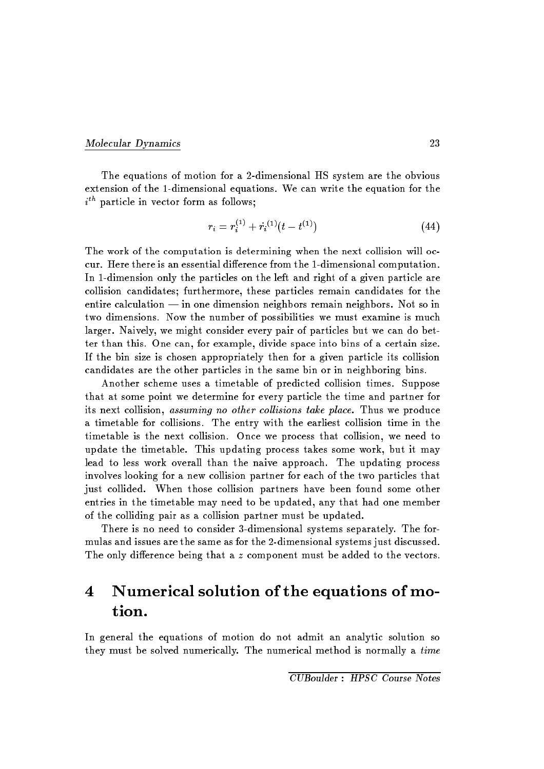The equations of motion for a 2-dimensional HS system are the obvious extension of the 1-dimensional equations. We can write the equation for the  $i^{th}$  particle in vector form as follows;

$$
r_i = r_i^{(1)} + \dot{r}_i^{(1)}(t - t^{(1)}) \tag{44}
$$

The work of the computation is determining when the next collision will occur. Here there is an essential difference from the 1-dimensional computation. In 1-dimension only the particles on the left and right of a given particle are collision candidates; furthermore, these particles remain candidates for the entire calculation  $-$  in one dimension neighbors remain neighbors. Not so in two dimensions. Now the number of possibilities we must examine is much larger. Naively, we might consider every pair of particles but we can do better than this. One can, for example, divide space into bins of a certain size. If the bin size is chosen appropriately then for a given particle its collision candidates are the other particles in the same bin or in neighboring bins.

Another scheme uses a timetable of predicted collision times. Suppose that at some point we determine for every particle the time and partner for its next collision, assuming no other collisions take place. Thus we produce a timetable for collisions. The entry with the earliest collision time in the timetable is the next collision. Once we process that collision, we need to update the timetable. This updating process takes some work, but it may lead to less work overall than the naive approach. The updating process involves looking for a new collision partner for each of the two particles that just collided. When those collision partners have been found some other entries in the timetable may need to be updated, any that had one member of the colliding pair as a collision partner must be updated.

There is no need to consider 3-dimensional systems separately. The formulas and issues are the same as for the 2-dimensional systems just discussed. The only difference being that a  $z$  component must be added to the vectors.

#### $\overline{\mathbf{4}}$ Numerical solution of the equations of motion.

In general the equations of motion do not admit an analytic solution so they must be solved numerically. The numerical method is normally a time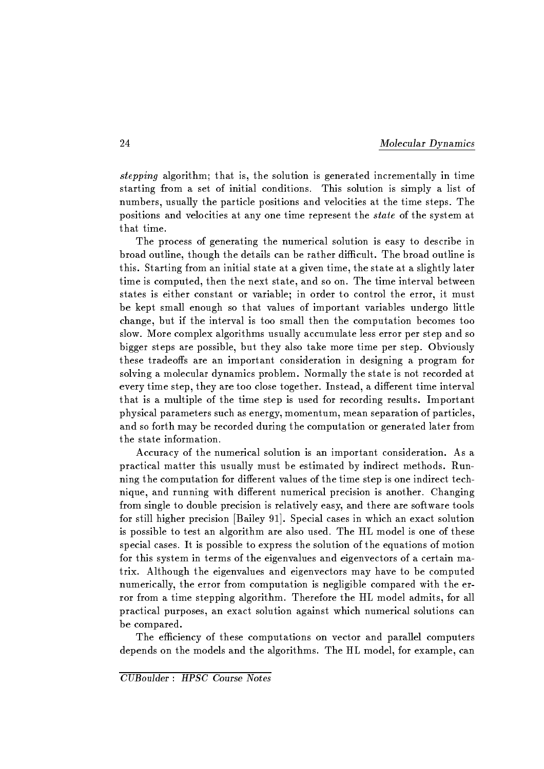stepping algorithm; that is, the solution is generated incrementally in time starting from a set of initial conditions. This solution is simply a list of numbers, usually the particle positions and velocities at the time steps. The positions and velocities at any one time represent the state of the system at that time.

The process of generating the numerical solution is easy to describe in broad outline, though the details can be rather difficult. The broad outline is this. Starting from an initial state at a given time, the state at a slightly later time is computed, then the next state, and so on. The time interval between states is either constant or variable; in order to control the error, it must be kept small enough so that values of important variables undergo little change, but if the interval is too small then the computation becomes too slow. More complex algorithms usually accumulate less error per step and so bigger steps are possible, but they also take more time per step. Obviously these tradeoffs are an important consideration in designing a program for solving a molecular dynamics problem. Normally the state is not recorded at every time step, they are too close together. Instead, a different time interval that is a multiple of the time step is used for recording results. Important physical parameters such as energy, momentum, mean separation of particles, and so forth may be recorded during the computation or generated later from the state information.

Accuracy of the numerical solution is an important consideration. As a practical matter this usually must be estimated by indirect methods. Running the computation for different values of the time step is one indirect technique, and running with different numerical precision is another. Changing from single to double precision is relatively easy, and there are software tools for still higher precision [Bailey 91]. Special cases in which an exact solution is possible to test an algorithm are also used. The HL model is one of these special cases. It is possible to express the solution of the equations of motion for this system in terms of the eigenvalues and eigenvectors of a certain matrix. Although the eigenvalues and eigenvectors may have to be computed numerically, the error from computation is negligible compared with the error from a time stepping algorithm. Therefore the HL model admits, for all practical purposes, an exact solution against which numerical solutions can be compared.

The efficiency of these computations on vector and parallel computers depends on the models and the algorithms. The HL model, for example, can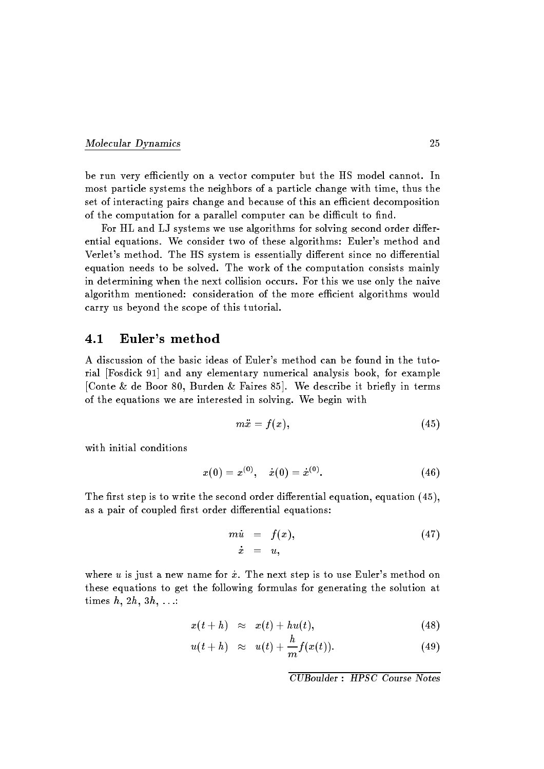be run very efficiently on a vector computer but the HS model cannot. In most particle systems the neighbors of a particle change with time, thus the set of interacting pairs change and because of this an efficient decomposition of the computation for a parallel computer can be difficult to find.

For HL and LJ systems we use algorithms for solving second order differential equations. We consider two of these algorithms: Euler's method and Verlet's method. The HS system is essentially different since no differential equation needs to be solved. The work of the computation consists mainly in determining when the next collision occurs. For this we use only the naive algorithm mentioned: consideration of the more efficient algorithms would carry us beyond the scope of this tutorial.

### 4.1 Euler's method

A discussion of the basic ideas of Euler's method can be found in the tutorial [Fosdick 91] and any elementary numerical analysis book, for example [Conte & de Boor 80, Burden & Faires 85]. We describe it briefly in terms of the equations we are interested in solving. We begin with

$$
m\ddot{x} = f(x),\tag{45}
$$

with initial conditions

$$
x(0) = x^{(0)}, \quad \dot{x}(0) = \dot{x}^{(0)}.
$$
 (46)

The first step is to write the second order differential equation, equation  $(45)$ , as a pair of coupled first order differential equations:

$$
m\dot{u} = f(x),
$$
  
\n
$$
\dot{x} = u,
$$
\n(47)

where u is just a new name for  $\dot{x}$ . The next step is to use Euler's method on these equations to get the following formulas for generating the solution at times  $h, 2h, 3h, \ldots$ :

$$
x(t+h) \approx x(t) + hu(t), \qquad (48)
$$

$$
u(t+h) \approx u(t) + \frac{h}{m}f(x(t)). \tag{49}
$$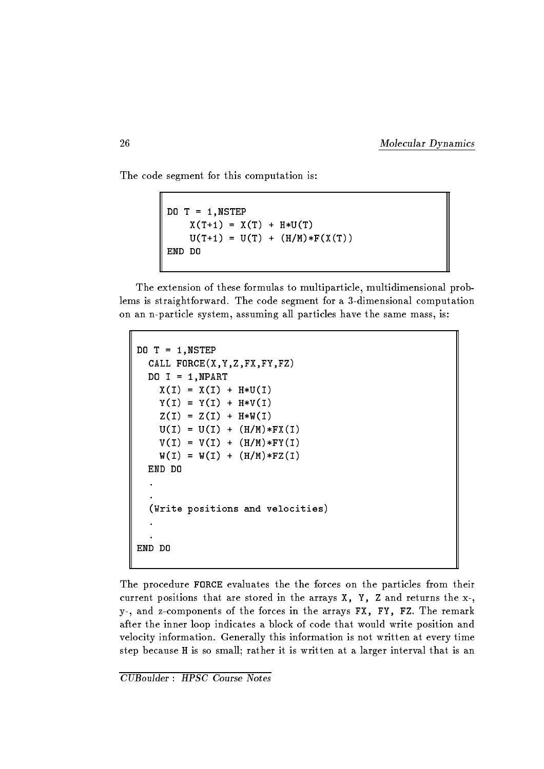The code segment for this computation is:

```
DO T = 1, NSTERX(T+1) = X(T) + H*U(T)U(T+1) = U(T) + (H/M) * F(X(T))END DO
```
The extension of these formulas to multiparticle, multidimensional problems is straightforward. The code segment for a 3-dimensional computation on an n-particle system, assuming all particles have the same mass, is:

```
DO T = 1, NSTERCALL FORCE(X,Y,Z,FX,FY,FZ)
  DO I = 1, NPARTX(I) = X(I) + H*U(I)Y(I) = Y(I) + H*V(I)Z(I) = Z(I) + H*W(I)U(I) = U(I) + (H/M) * FX(I)V(I) = V(I) + (H/M) * FY(I)W(I) = W(I) + (H/M) * FZ(I)END DO
  .
  .
  (Write positions and velocities)
  .
  .
END DO
```
The procedure FORCE evaluates the the forces on the particles from their current positions that are stored in the arrays  $X$ ,  $Y$ ,  $Z$  and returns the  $x$ -, y-, and z-components of the forces in the arrays FX, FY, FZ. The remark after the inner loop indicates a block of code that would write position and velocity information. Generally this information is not written at every time step because H is so small; rather it is written at a larger interval that is an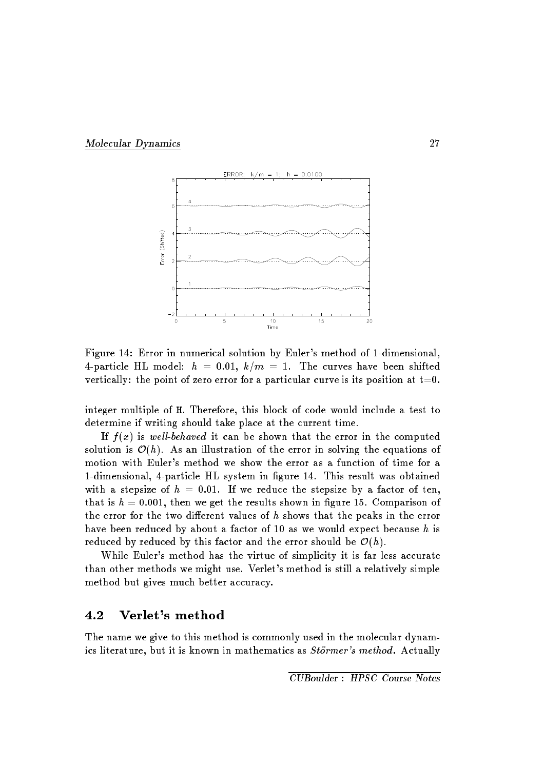

Figure 14: Error in numerical solution by Euler's method of 1-dimensional, 4-particle HL model:  $h = 0.01, k/m = 1$ . The curves have been shifted vertically: the point of zero error for a particular curve is its position at  $t=0$ .

integer multiple of H. Therefore, this block of code would include a test to determine if writing should take place at the current time.

If  $f(x)$  is well-behaved it can be shown that the error in the computed solution is  $\mathcal{O}(h)$ . As an illustration of the error in solving the equations of motion with Euler's method we show the error as a function of time for a 1-dimensional, 4-particle HL system in figure 14. This result was obtained with a stepsize of  $h = 0.01$ . If we reduce the stepsize by a factor of ten, that is  $h = 0.001$ , then we get the results shown in figure 15. Comparison of the error for the two different values of  $h$  shows that the peaks in the error have been reduced by about a factor of 10 as we would expect because h is reduced by reduced by this factor and the error should be  $\mathcal{O}(h)$ .

While Euler's method has the virtue of simplicity it is far less accurate than other methods we might use. Verlet's method is still a relatively simple method but gives much better accuracy.

# 4.2 Verlet's method

The name we give to this method is commonly used in the molecular dynamics literature, but it is known in mathematics as *Störmer's method*. Actually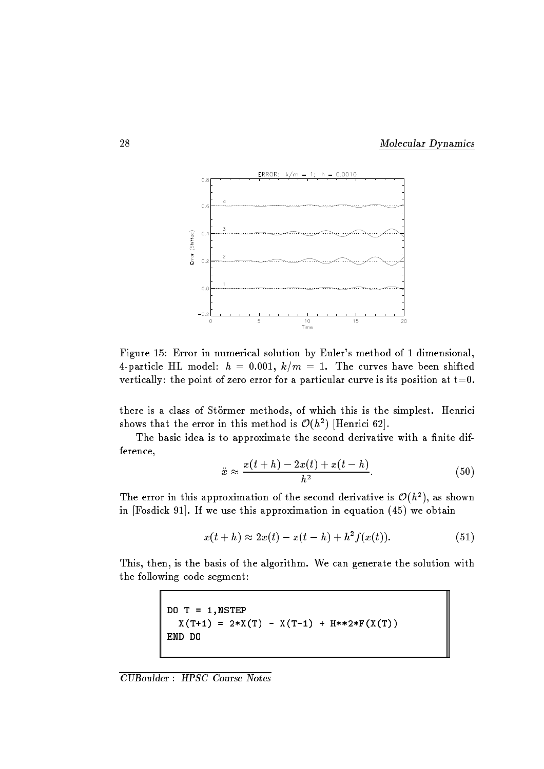

Figure 15: Error in numerical solution by Euler's method of 1-dimensional, 4-particle HL model:  $h = 0.001, k/m = 1$ . The curves have been shifted vertically: the point of zero error for a particular curve is its position at  $t=0$ .

there is a class of Störmer methods, of which this is the simplest. Henrici shows that the error in this method is  $\mathcal{O}(h^2)$  [Henrici 62].

The basic idea is to approximate the second derivative with a finite difference,

$$
\ddot{x} \approx \frac{x(t+h) - 2x(t) + x(t-h)}{h^2}.
$$
\n(50)

The error in this approximation of the second derivative is  $\mathcal{O}(h^2)$ , as shown in [Fosdick 91]. If we use this approximation in equation (45) we obtain

$$
x(t+h) \approx 2x(t) - x(t-h) + h^2 f(x(t)). \tag{51}
$$

This, then, is the basis of the algorithm. We can generate the solution with the following code segment:

> $DO T = 1, NSTER$  $X(T+1) = 2*X(T) - X(T-1) + H**2*F(X(T))$ END DO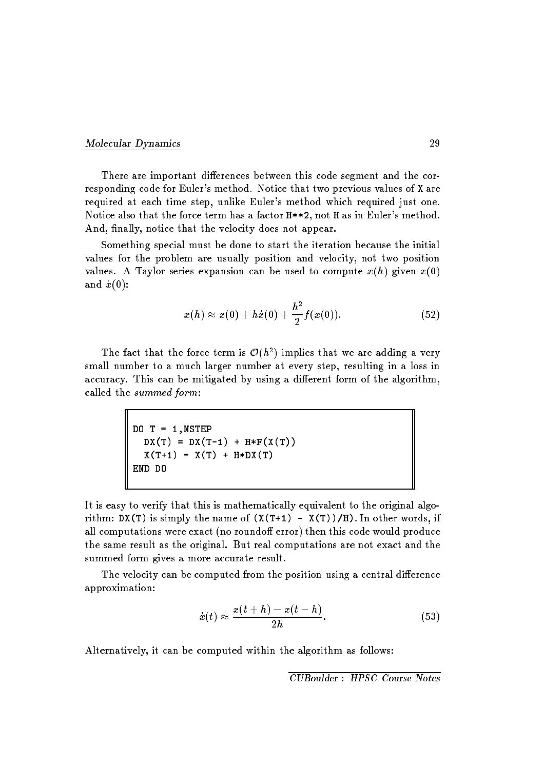There are important differences between this code segment and the corresponding code for Euler's method. Notice that two previous values of X are required at each time step, unlike Euler's method which required just one. Notice also that the force term has a factor H\*\*2, not H as in Euler's method. And, finally, notice that the velocity does not appear.

Something special must be done to start the iteration because the initial values for the problem are usually position and velocity, not two position values. A Taylor series expansion can be used to compute  $x(h)$  given  $x(0)$ and  $x(0)$ :

$$
x(h) \approx x(0) + h\dot{x}(0) + \frac{h^2}{2}f(x(0)).
$$
 (52)

The fact that the force term is  $\mathcal{O}(h^2)$  implies that we are adding a very small number to a much larger number at every step, resulting in a loss in accuracy. This can be mitigated by using a different form of the algorithm, called the summed form:

> DO T <sup>=</sup> 1,NSTEP  $DX(T) = DX(T-1) + H*F(X(T))$  $X(T+1) = X(T) + H*DX(T)$ END DO

It is easy to verify that this is mathematically equivalent to the original algorithm:  $DX(T)$  is simply the name of  $(X(T+1) - X(T))/H$ ). In other words, if all computations were exact (no roundoff error) then this code would produce the same result as the original. But real computations are not exact and the summed form gives a more accurate result.

The velocity can be computed from the position using a central difference approximation:

$$
\dot{x}(t) \approx \frac{x(t+h) - x(t-h)}{2h}.\tag{53}
$$

Alternatively, it can be computed within the algorithm as follows: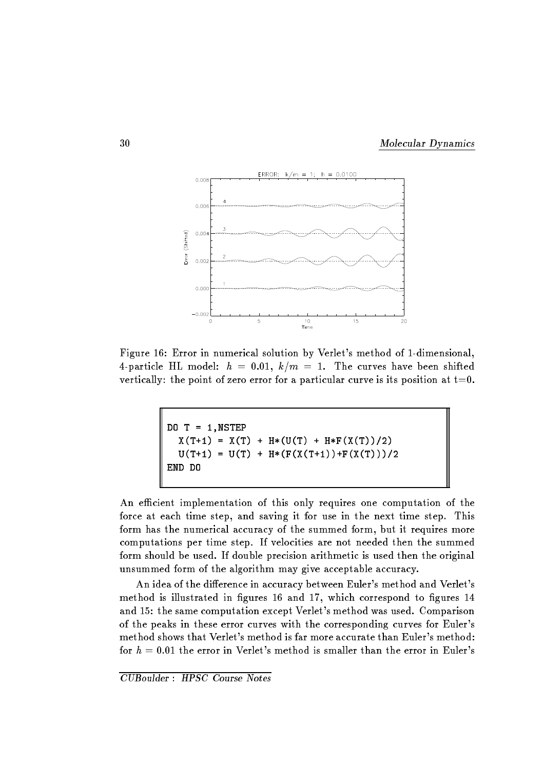

Figure 16: Error in numerical solution by Verlet's method of 1-dimensional, 4-particle HL model:  $h = 0.01, k/m = 1$ . The curves have been shifted vertically: the point of zero error for a particular curve is its position at  $t=0$ .

```
DO T = 1, NSTERX(T+1) = X(T) + H*(U(T) + H*F(X(T))/2)U(T+1) = U(T) + H*(F(X(T+1)) + F(X(T))))/2END DO
```
An efficient implementation of this only requires one computation of the force at each time step, and saving it for use in the next time step. This form has the numerical accuracy of the summed form, but it requires more computations per time step. If velocities are not needed then the summed form should be used. If double precision arithmetic is used then the original unsummed form of the algorithm may give acceptable accuracy.

An idea of the difference in accuracy between Euler's method and Verlet's method is illustrated in figures 16 and 17, which correspond to figures 14 and 15: the same computation except Verlet's method was used. Comparison of the peaks in these error curves with the corresponding curves for Euler's method shows that Verlet's method is far more accurate than Euler's method: for  $h = 0.01$  the error in Verlet's method is smaller than the error in Euler's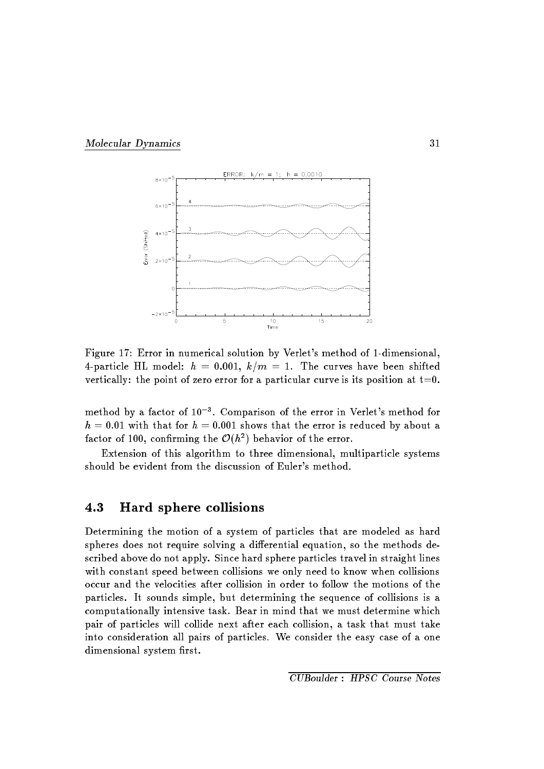

Figure 17: Error in numerical solution by Verlet's method of 1-dimensional, 4-particle HL model:  $h = 0.001$ ,  $k/m = 1$ . The curves have been shifted vertically: the point of zero error for a particular curve is its position at  $t=0$ .

method by a factor of  $10^{-3}$ . Comparison of the error in Verlet's method for  $h = 0.01$  with that for  $h = 0.001$  shows that the error is reduced by about a factor of 100, confirming the  $\mathcal{O}(h^2)$  behavior of the error.

Extension of this algorithm to three dimensional, multiparticle systems should be evident from the discussion of Euler's method.

### 4.3 Hard sphere collisions

Determining the motion of a system of particles that are modeled as hard spheres does not require solving a differential equation, so the methods described above do not apply. Since hard sphere particles travel in straight lines with constant speed between collisions we only need to know when collisions occur and the velocities after collision in order to follow the motions of the particles. It sounds simple, but determining the sequence of collisions is a computationally intensive task. Bear in mind that we must determine which pair of particles will collide next after each collision, a task that must take into consideration all pairs of particles. We consider the easy case of a one dimensional system first.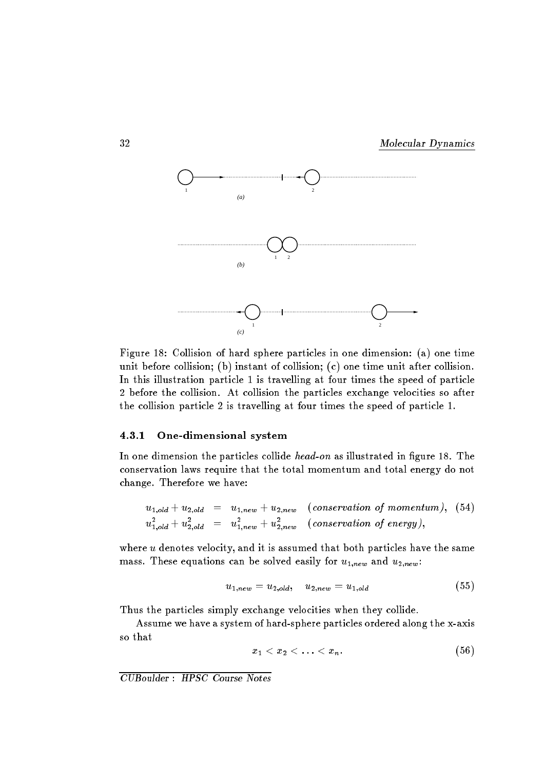

Figure 18: Collision of hard sphere particles in one dimension: (a) one time unit before collision; (b) instant of collision; (c) one time unit after collision. In this illustration particle 1 is travelling at four times the speed of particle 2 before the collision. At collision the particles exchange velocities so after the collision particle 2 is travelling at four times the speed of particle 1.

#### 4.3.1 One-dimensional system

In one dimension the particles collide *head-on* as illustrated in figure 18. The conservation laws require that the total momentum and total energy do not change. Therefore we have:

$$
u_{1,old} + u_{2,old} = u_{1,new} + u_{2,new}
$$
 (conservation of momentum), (54)  

$$
u_{1,old}^2 + u_{2,old}^2 = u_{1,new}^2 + u_{2,new}^2
$$
 (conservation of energy),

where  $u$  denotes velocity, and it is assumed that both particles have the same mass. These equations can be solved easily for  $u_{1,new}$  and  $u_{2,new}$ :

$$
u_{1,new} = u_{2,old}, \quad u_{2,new} = u_{1,old} \tag{55}
$$

Thus the particles simply exchange velocities when they collide.

Assume we have a system of hard-sphere particles ordered along the x-axis so that

$$
x_1 < x_2 < \ldots < x_n. \tag{56}
$$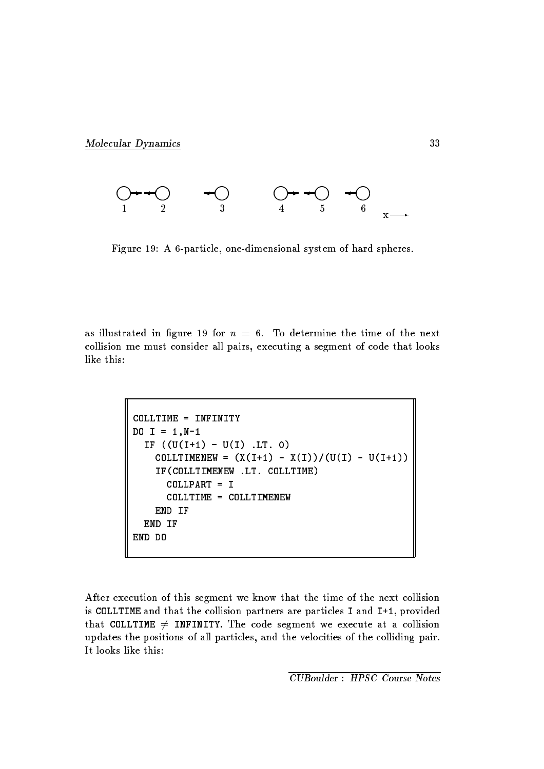

Figure 19: A 6-particle, one-dimensional system of hard spheres.

as illustrated in figure 19 for  $n = 6$ . To determine the time of the next collision me must consider all pairs, executing a segment of code that looks like this:

```
COLLTIME = INFINITY
DO I = 1, N-1IF ((U(I+1) - U(I) .LT. 0)COLLTIMENEW = (X(I+1) - X(I))/(U(I) - U(I+1))IF(COLLTIMENEW .LT. COLLTIME)
      COLLPART = I
      COLLTIME = COLLTIMENEW
   END IF
 END IF
END DO
```
After execution of this segment we know that the time of the next collision is COLLTIME and that the collision partners are particles I and I+1, provided that COLLTIME  $\neq$  INFINITY. The code segment we execute at a collision updates the positions of all particles, and the velocities of the colliding pair. It looks like this: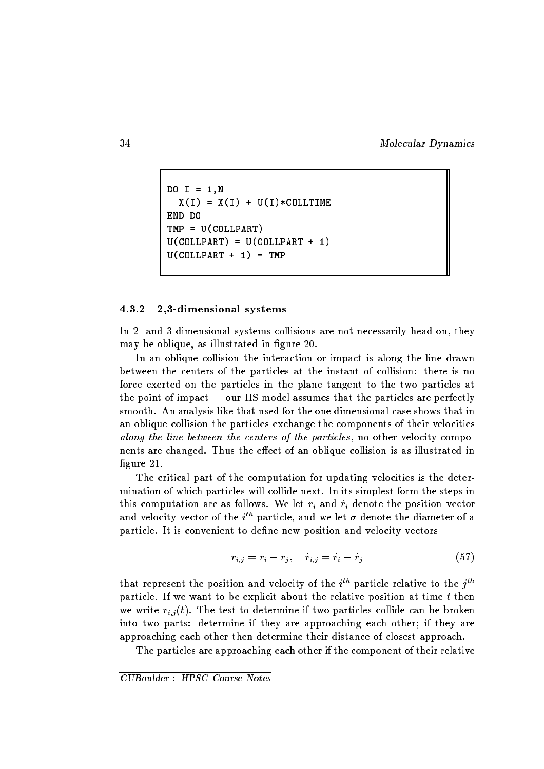```
DO I = 1,NX(I) = X(I) + U(I) *COLLTIMEEND DO
TMP = U(COLLPART)
U(COLLPART) = U(COLLPART + 1)U(COLLPART + 1) = TMP
```
#### 4.3.2 2,3-dimensional systems

In 2- and 3-dimensional systems collisions are not necessarily head on, they may be oblique, as illustrated in figure 20.

In an oblique collision the interaction or impact is along the line drawn between the centers of the particles at the instant of collision: there is no force exerted on the particles in the plane tangent to the two particles at the point of impact  $\sim$  our HS model assumes that the particles are perfectly smooth. An analysis like that used for the one dimensional case shows that in an oblique collision the particles exchange the components of their velocities along the line between the centers of the particles, no other velocity components are changed. Thus the effect of an oblique collision is as illustrated in figure 21.

The critical part of the computation for updating velocities is the determination of which particles will collide next. In its simplest form the steps in this computation are as follows. We let  $r_i$  and  $r_i$  denote the position vector and velocity vector of the  $i^{th}$  particle, and we let  $\sigma$  denote the diameter of a particle. It is convenient to define new position and velocity vectors

$$
r_{i,j}=r_i-r_j, \quad \dot{r}_{i,j}= \dot{r}_i-\dot{r}_j \qquad \qquad (57)
$$

that represent the position and velocity of the  $i^{th}$  particle relative to the  $j^{th}$ particle. If we want to be explicit about the relative position at time  $t$  then we write  $r_{i,j}(t)$ . The test to determine if two particles collide can be broken into two parts: determine if they are approaching each other; if they are approaching each other then determine their distance of closest approach.

The particles are approaching each other if the component of their relative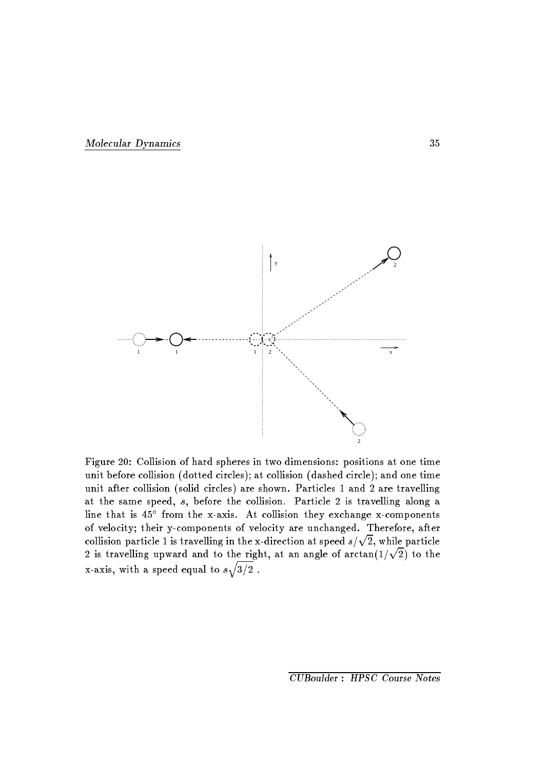

Figure 20: Collision of hard spheres in two dimensions: positions at one time unit before collision (dotted circles); at collision (dashed circle); and one time unit after collision (solid circles) are shown. Particles 1 and 2 are travelling at the same speed, s, before the collision. Particle 2 is travelling along a line that is 45 from the x-axis. At collision they exchange x-components of velocity; their y-components of velocity are unchanged. Therefore, after collision particle 1 is travelling in the x-direction at speed  $s/\sqrt{2},$  while particle 2 is travelling upward and to the right, at an angle of  $\arctan(1/\sqrt{2})$  $\overline{\phantom{a}}$ x-axis, with a speed equal to  $s\sqrt{3/2}$  .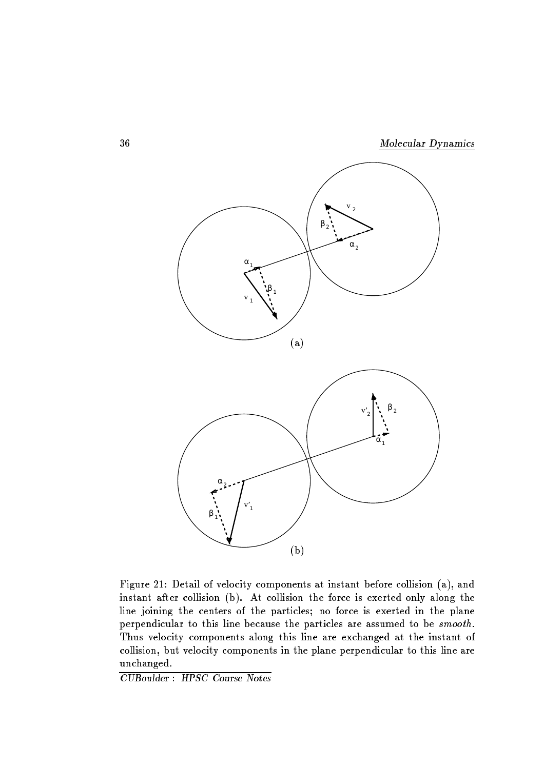

Figure 21: Detail of velocity components at instant before collision (a), and instant after collision (b). At collision the force is exerted only along the line joining the centers of the particles; no force is exerted in the plane perpendicular to this line because the particles are assumed to be smooth. Thus velocity components along this line are exchanged at the instant of collision, but velocity components in the plane perpendicular to this line are unchanged.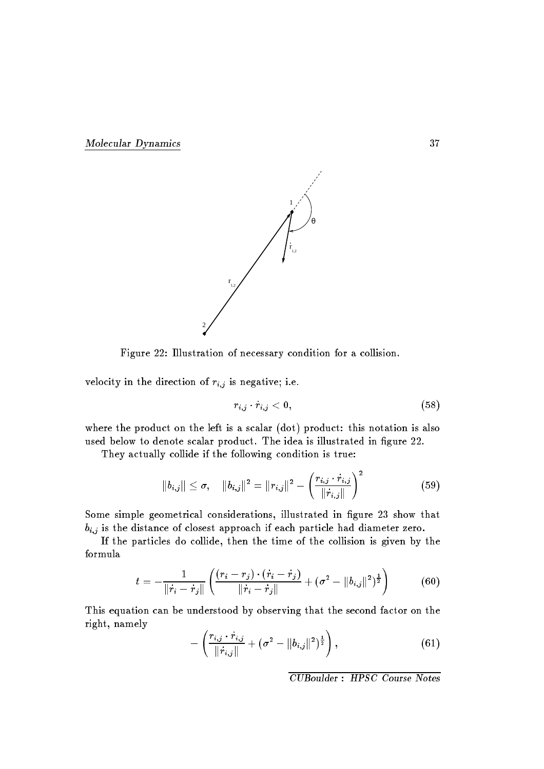

Figure 22: Illustration of necessary condition for a collision.

velocity in the direction of  $r_{i,j}$  is negative; i.e.

$$
r_{i,j}\cdot \dot{r}_{i,j}<0,\qquad \qquad (58)
$$

where the product on the left is a scalar (dot) product: this notation is also used below to denote scalar product. The idea is illustrated in figure 22.

They actually collide if the following condition is true:

$$
\|b_{i,j}\| \leq \sigma, \quad \|b_{i,j}\|^2 = \|r_{i,j}\|^2 - \left(\frac{r_{i,j} \cdot \dot{r}_{i,j}}{\|\dot{r}_{i,j}\|}\right)^2 \tag{59}
$$

Some simple geometrical considerations, illustrated in figure 23 show that  $b_{i,j}$  is the distance of closest approach if each particle had diameter zero.

If the particles do collide, then the time of the collision is given by the formula

$$
t = -\frac{1}{\|\dot{r}_i - \dot{r}_j\|} \left( \frac{(r_i - r_j) \cdot (\dot{r}_i - \dot{r}_j)}{\|\dot{r}_i - \dot{r}_j\|} + (\sigma^2 - \|b_{i,j}\|^2)^{\frac{1}{2}} \right) \tag{60}
$$

This equation can be understood by observing that the second factor on the right, namely

$$
-\left(\frac{r_{i,j}\cdot \dot{r}_{i,j}}{\|\dot{r}_{i,j}\|}+(\sigma^2-\|b_{i,j}\|^2)^{\frac{1}{2}}\right),\qquad (61)
$$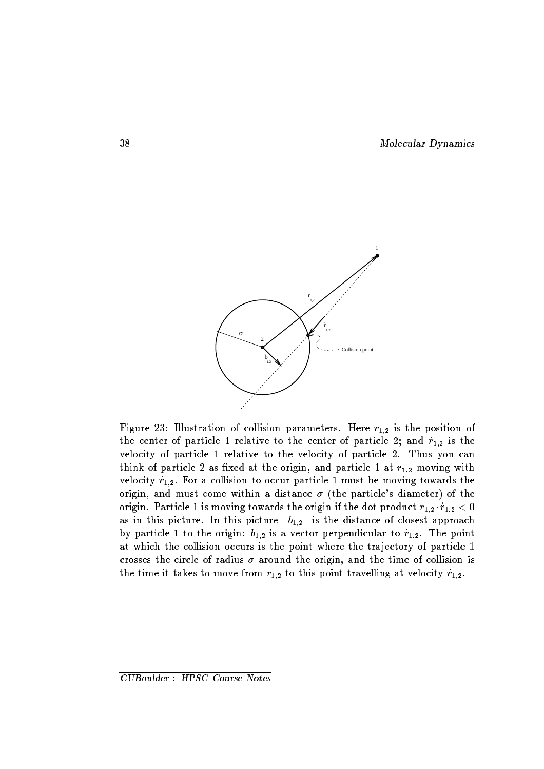

Figure 23: Illustration of collision parameters. Here  $r_{1,2}$  is the position of the center of particle 1 relative to the center of particle 2; and  $\dot{r}_{1,2}$  is the velocity of particle 1 relative to the velocity of particle 2. Thus you can think of particle 2 as fixed at the origin, and particle 1 at  $r_{1,2}$  moving with velocity  $r_{1,2}$ . For a collision to occur particle 1 must be moving towards the origin, and must come within a distance  $\sigma$  (the particle's diameter) of the origin. Particle 1 is moving towards the origin if the dot product  $r_{1,2} \cdot r_{1,2} < 0$ as in this picture. In this picture  $||b_{1,2}||$  is the distance of closest approach by particle 1 to the origin:  $b_{1,2}$  is a vector perpendicular to  $r_{1,2}$ . The point at which the collision occurs is the point where the tra jectory of particle 1 crosses the circle of radius  $\sigma$  around the origin, and the time of collision is the time it takes to move from  $r_{1,2}$  to this point travelling at velocity  $r_{1,2}$ .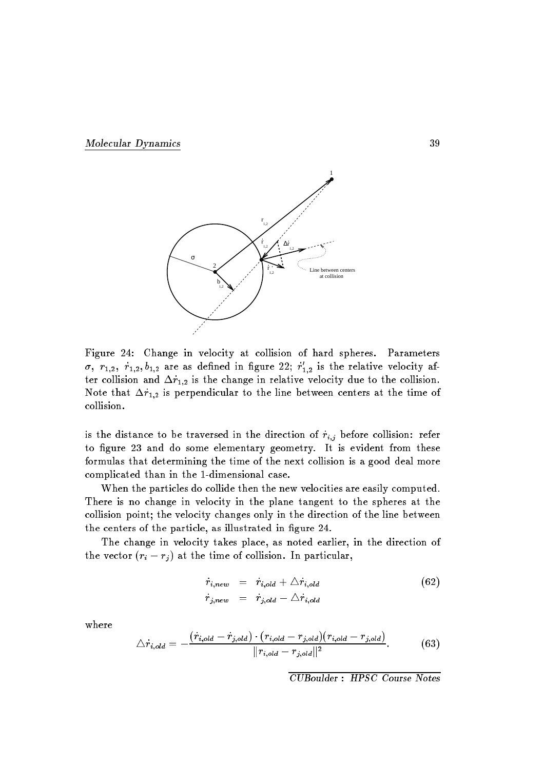

Figure 24: Change in velocity at collision of hard spheres. Parameters  $\sigma$ ,  $r_{1,2}$ ,  $\dot{r}_{1,2}, b_{1,2}$  are as defined in figure 22;  $\dot{r}_{1,2}'$  is the relative velocity after collision and  $\Delta r_{1,2}$  is the change in relative velocity due to the collision. Note that  $\Delta r_{1,2}$  is perpendicular to the line between centers at the time of collision.

is the distance to be traversed in the direction of  $\dot{r}_{i,j}$  before collision: refer to figure 23 and do some elementary geometry. It is evident from these formulas that determining the time of the next collision is a good deal more complicated than in the 1-dimensional case.

When the particles do collide then the new velocities are easily computed. There is no change in velocity in the plane tangent to the spheres at the collision point; the velocity changes only in the direction of the line between the centers of the particle, as illustrated in figure 24.

The change in velocity takes place, as noted earlier, in the direction of the vector  $(r_i - r_j)$  at the time of collision. In particular,

$$
\begin{array}{rcl}\n\dot{r}_{i,new} & = & \dot{r}_{i,old} + \triangle \dot{r}_{i,old} \\
\dot{r}_{j,new} & = & \dot{r}_{j,old} - \triangle \dot{r}_{i,old}\n\end{array} \tag{62}
$$

where

$$
\triangle \dot{r}_{i,old} = -\frac{(\dot{r}_{i,old} - \dot{r}_{j,old}) \cdot (r_{i,old} - r_{j,old})(r_{i,old} - r_{j,old})}{\|r_{i,old} - r_{j,old}\|^2}.
$$
 (63)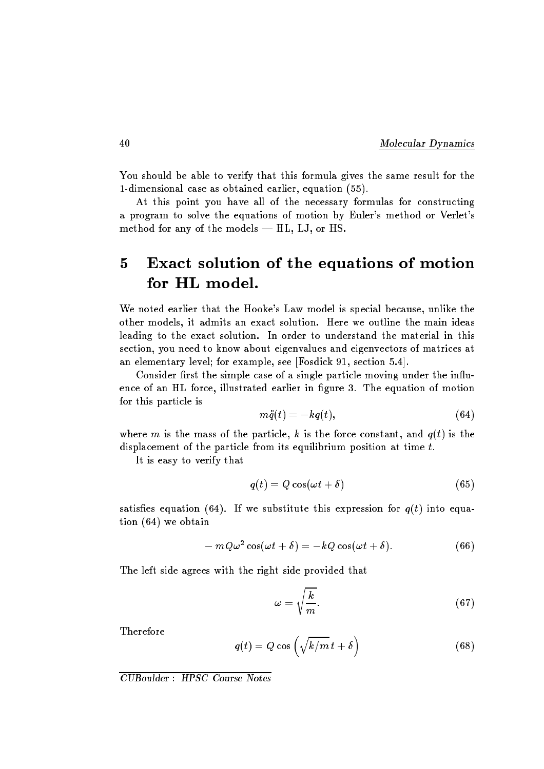You should be able to verify that this formula gives the same result for the 1-dimensional case as obtained earlier, equation (55).

At this point you have all of the necessary formulas for constructing a program to solve the equations of motion by Euler's method or Verlet's method for any of the models  $-$  HL, LJ, or HS.

#### Exact solution of the equations of motion  $\overline{5}$ for HL model.

We noted earlier that the Hooke's Law model is special because, unlike the other models, it admits an exact solution. Here we outline the main ideas leading to the exact solution. In order to understand the material in this section, you need to know about eigenvalues and eigenvectors of matrices at an elementary level; for example, see [Fosdick 91, section 5.4].

Consider first the simple case of a single particle moving under the influence of an HL force, illustrated earlier in figure 3. The equation of motion for this particle is

$$
m\ddot{q}(t) = -kq(t),\tag{64}
$$

where m is the mass of the particle, k is the force constant, and  $q(t)$  is the displacement of the particle from its equilibrium position at time t.

It is easy to verify that

$$
q(t) = Q\cos(\omega t + \delta) \tag{65}
$$

satisfies equation (64). If we substitute this expression for  $q(t)$  into equation (64) we obtain

$$
-mQ\omega^{2}\cos(\omega t+\delta)=-kQ\cos(\omega t+\delta). \qquad (66)
$$

The left side agrees with the right side provided that

$$
\omega = \sqrt{\frac{k}{m}}.\tag{67}
$$

Therefore

$$
q(t) = Q \cos\left(\sqrt{k/m}\,t + \delta\right) \tag{68}
$$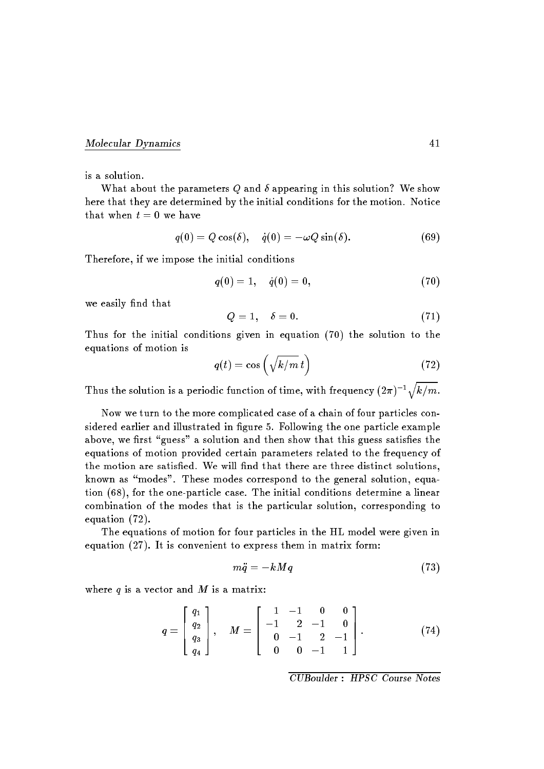is a solution.

What about the parameters Q and  $\delta$  appearing in this solution? We show here that they are determined by the initial conditions for the motion. Notice that when  $t = 0$  we have

$$
q(0) = Q \cos(\delta), \quad \dot{q}(0) = -\omega Q \sin(\delta). \tag{69}
$$

Therefore, if we impose the initial conditions

$$
q(0) = 1, \quad \dot{q}(0) = 0,\tag{70}
$$

we easily find that

$$
Q = 1, \quad \delta = 0. \tag{71}
$$

Thus for the initial conditions given in equation (70) the solution to the equations of motion is

$$
q(t) = \cos\left(\sqrt{k/m}\,t\right) \tag{72}
$$

Thus the solution is a periodic function of time, with frequency  $(2\pi)^{-1}\sqrt{k/m}$ .

Now we turn to the more complicated case of a chain of four particles considered earlier and illustrated in figure 5. Following the one particle example above, we first "guess" a solution and then show that this guess satisfies the equations of motion provided certain parameters related to the frequency of the motion are satisfied. We will find that there are three distinct solutions, known as "modes". These modes correspond to the general solution, equation (68), for the one-particle case. The initial conditions determine a linear combination of the modes that is the particular solution, corresponding to equation (72).

The equations of motion for four particles in the HL model were given in equation (27). It is convenient to express them in matrix form:

$$
m\ddot{q} = -kMq \tag{73}
$$

where  $q$  is a vector and  $M$  is a matrix:

$$
q = \begin{bmatrix} q_1 \\ q_2 \\ q_3 \\ q_4 \end{bmatrix}, \quad M = \begin{bmatrix} 1 & -1 & 0 & 0 \\ -1 & 2 & -1 & 0 \\ 0 & -1 & 2 & -1 \\ 0 & 0 & -1 & 1 \end{bmatrix}.
$$
 (74)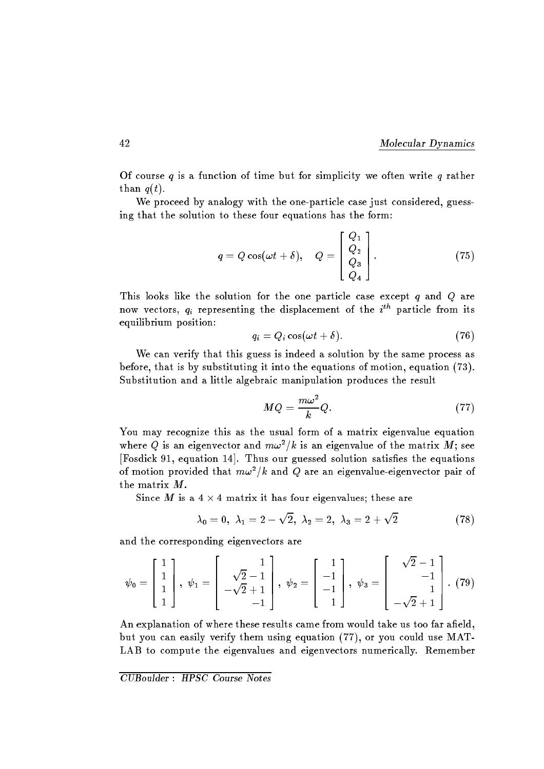Of course  $q$  is a function of time but for simplicity we often write  $q$  rather than  $q(t)$ .

We proceed by analogy with the one-particle case just considered, guessing that the solution to these four equations has the form:

$$
q = Q\cos(\omega t + \delta), \quad Q = \begin{bmatrix} Q_1 \\ Q_2 \\ Q_3 \\ Q_4 \end{bmatrix}.
$$
 (75)

This looks like the solution for the one particle case except  $q$  and  $Q$  are now vectors,  $q_i$  representing the displacement of the  $i^{th}$  particle from its equilibrium position:

$$
q_i = Q_i \cos(\omega t + \delta). \tag{76}
$$

We can verify that this guess is indeed a solution by the same process as before, that is by substituting it into the equations of motion, equation (73). Substitution and a little algebraic manipulation produces the result

$$
MQ = \frac{m\omega^2}{k}Q.\tag{77}
$$

You may recognize this as the usual form of a matrix eigenvalue equation where Q is an eigenvector and  $m\omega^2/k$  is an eigenvalue of the matrix M; see [Fosdick 91, equation 14]. Thus our guessed solution satises the equations of motion provided that  $m\omega^2/k$  and Q are an eigenvalue-eigenvector pair of the matrix M.

Since M is a  $4 \times 4$  matrix it has four eigenvalues; these are

$$
\lambda_0 = 0, \ \lambda_1 = 2 - \sqrt{2}, \ \lambda_2 = 2, \ \lambda_3 = 2 + \sqrt{2} \tag{78}
$$

and the corresponding eigenvectors are

$$
\psi_0 = \begin{bmatrix} 1 \\ 1 \\ 1 \\ 1 \end{bmatrix}, \ \psi_1 = \begin{bmatrix} 1 \\ -\sqrt{2} + 1 \\ -1 \end{bmatrix}, \ \psi_2 = \begin{bmatrix} 1 \\ -1 \\ -1 \\ 1 \end{bmatrix}, \ \psi_3 = \begin{bmatrix} \sqrt{2} - 1 \\ -1 \\ -1 \end{bmatrix}. \ (79)
$$

An explanation of where these results came from would take us too far afield, but you can easily verify them using equation (77), or you could use MAT-LAB to compute the eigenvalues and eigenvectors numerically. Remember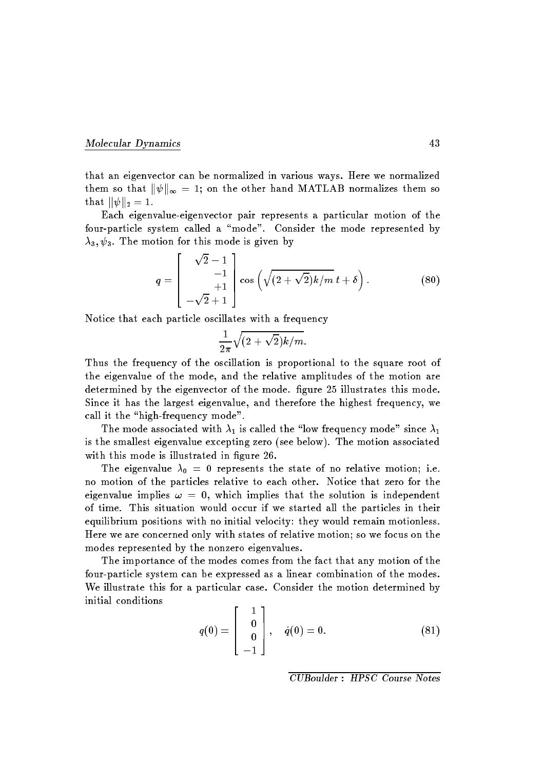that an eigenvector can be normalized in various ways. Here we normalized them so that  $\|\psi\|_{\infty} = 1$ ; on the other hand MATLAB normalizes them so that  $\|\psi\|_2 = 1$ .

Each eigenvalue-eigenvector pair represents a particular motion of the four-particle system called a \mode". Consider the mode represented by  $\lambda_3, \psi_3$ . The motion for this mode is given by

$$
q = \begin{bmatrix} \sqrt{2} - 1 \\ -1 \\ +1 \\ -\sqrt{2} + 1 \end{bmatrix} \cos \left( \sqrt{(2 + \sqrt{2})k/m} t + \delta \right).
$$
 (80)

Notice that each particle oscillates with a frequency

$$
\frac{1}{2\pi}\sqrt{(2+\sqrt{2})k/m}.
$$

Thus the frequency of the oscillation is proportional to the square root of the eigenvalue of the mode, and the relative amplitudes of the motion are determined by the eigenvector of the mode. figure 25 illustrates this mode. Since it has the largest eigenvalue, and therefore the highest frequency, we call it the "high-frequency mode".

The mode associated with  $\lambda_1$  is called the "low frequency mode" since  $\lambda_1$ is the smallest eigenvalue excepting zero (see below). The motion associated with this mode is illustrated in figure 26.

The eigenvalue  $\lambda_0 = 0$  represents the state of no relative motion; i.e. no motion of the particles relative to each other. Notice that zero for the eigenvalue implies  $\omega = 0$ , which implies that the solution is independent of time. This situation would occur if we started all the particles in their equilibrium positions with no initial velocity: they would remain motionless. Here we are concerned only with states of relative motion; so we focus on the modes represented by the nonzero eigenvalues.

The importance of the modes comes from the fact that any motion of the four-particle system can be expressed as a linear combination of the modes. We illustrate this for a particular case. Consider the motion determined by initial conditions

$$
q(0) = \begin{bmatrix} 1 \\ 0 \\ 0 \\ -1 \end{bmatrix}, \quad \dot{q}(0) = 0. \tag{81}
$$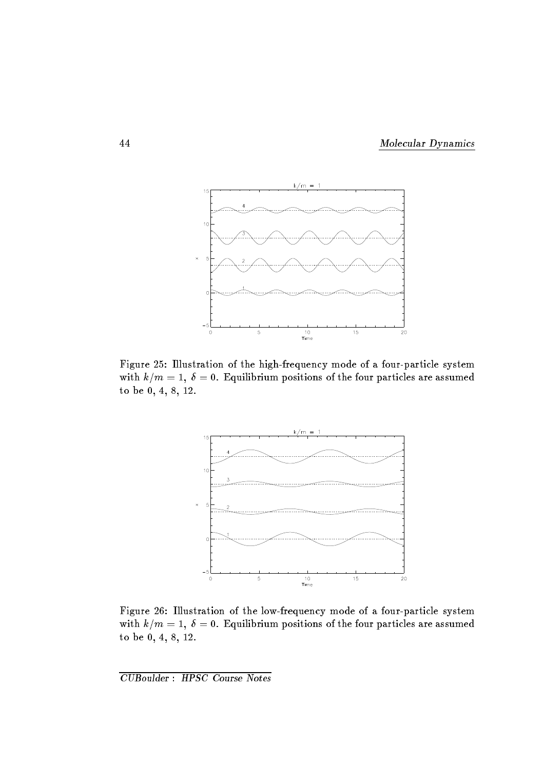

Figure 25: Illustration of the high-frequency mode of a four-particle system with  $k/m = 1$ ,  $\delta = 0$ . Equilibrium positions of the four particles are assumed to be 0, 4, 8, 12.



Figure 26: Illustration of the low-frequency mode of a four-particle system with  $k/m = 1$ ,  $\delta = 0$ . Equilibrium positions of the four particles are assumed to be 0, 4, 8, 12.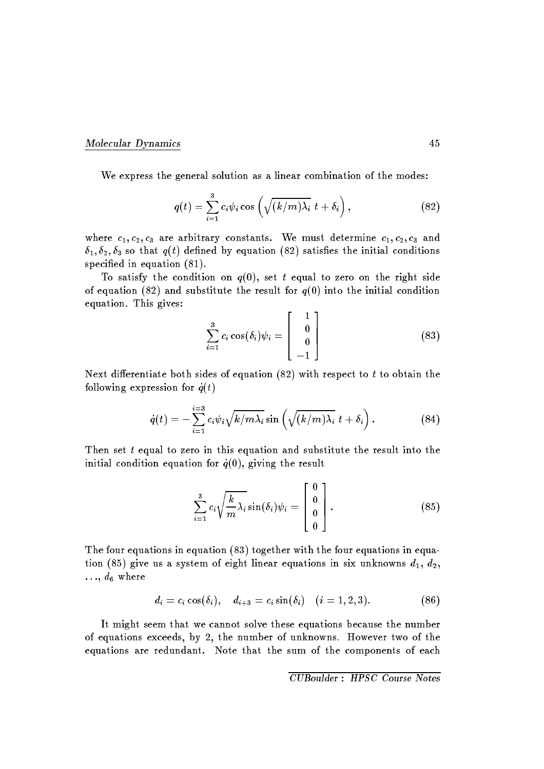We express the general solution as a linear combination of the modes:

$$
q(t) = \sum_{i=1}^{3} c_i \psi_i \cos \left( \sqrt{(k/m)\lambda_i} \ t + \delta_i \right), \tag{82}
$$

where  $c_1, c_2, c_3$  are arbitrary constants. We must determine  $c_1, c_2, c_3$  and  $\delta_1, \delta_2, \delta_3$  so that  $q(t)$  defined by equation (82) satisfies the initial conditions specified in equation  $(81)$ .

To satisfy the condition on  $q(0)$ , set t equal to zero on the right side of equation (82) and substitute the result for  $q(0)$  into the initial condition equation. This gives:

$$
\sum_{i=1}^{3} c_i \cos(\delta_i) \psi_i = \begin{bmatrix} 1 \\ 0 \\ 0 \\ -1 \end{bmatrix}
$$
 (83)

Next differentiate both sides of equation  $(82)$  with respect to t to obtain the following expression for  $\dot{q}(t)$ 

$$
\dot{q}(t) = -\sum_{i=1}^{i=3} c_i \psi_i \sqrt{k/m\lambda_i} \sin\left(\sqrt{(k/m)\lambda_i} t + \delta_i\right).
$$
 (84)

<u>2020 - 2020 - 2020 - 2020 - 2020 - 2020 - 2020 - 2020 - 2020 - 2020 - 2020 - 2020 - 2020 - 2020 - 2020 - 20</u>

Then set  $t$  equal to zero in this equation and substitute the result into the initial condition equation for  $\dot{q}(0)$ , giving the result

$$
\sum_{i=1}^{3} c_i \sqrt{\frac{k}{m} \lambda_i} \sin(\delta_i) \psi_i = \begin{bmatrix} 0 \\ 0 \\ 0 \\ 0 \end{bmatrix} . \tag{85}
$$

The four equations in equation (83) together with the four equations in equation (85) give us a system of eight linear equations in six unknowns  $d_1, d_2,$  $\ldots$ ,  $d_6$  where

$$
d_i = c_i \cos(\delta_i), \quad d_{i+3} = c_i \sin(\delta_i) \quad (i = 1, 2, 3). \tag{86}
$$

It might seem that we cannot solve these equations because the number of equations exceeds, by 2, the number of unknowns. However two of the equations are redundant. Note that the sum of the components of each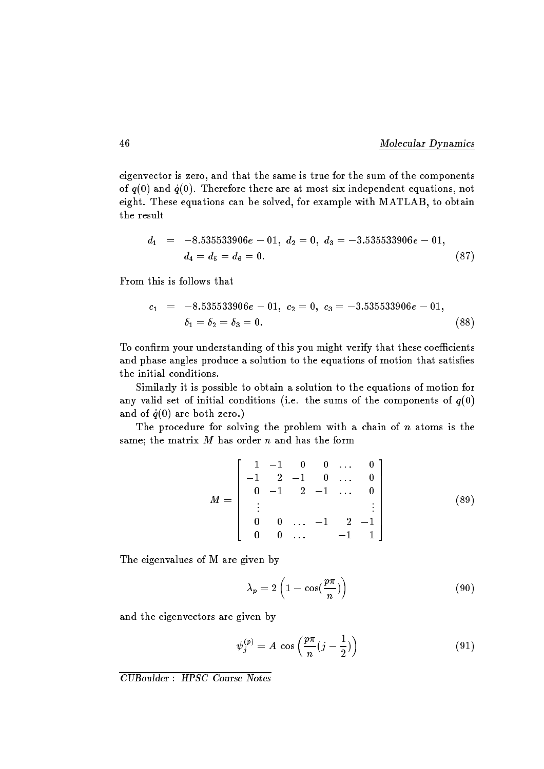eigenvector is zero, and that the same is true for the sum of the components of  $q(0)$  and  $\dot{q}(0)$ . Therefore there are at most six independent equations, not eight. These equations can be solved, for example with MATLAB, to obtain the result

$$
d_1 = -8.535533906e - 01, d_2 = 0, d_3 = -3.535533906e - 01, d_4 = d_5 = d_6 = 0.
$$
 (87)

From this is follows that

$$
c_1 = -8.535533906e - 01, c_2 = 0, c_3 = -3.535533906e - 01, \n\delta_1 = \delta_2 = \delta_3 = 0.
$$
\n(88)

To confirm your understanding of this you might verify that these coefficients and phase angles produce a solution to the equations of motion that satises the initial conditions.

Similarly it is possible to obtain a solution to the equations of motion for any valid set of initial conditions (i.e. the sums of the components of  $q(0)$ and of  $\dot{q}(0)$  are both zero.)

The procedure for solving the problem with a chain of  $n$  atoms is the same; the matrix  $M$  has order  $n$  and has the form

$$
M = \begin{bmatrix} 1 & -1 & 0 & 0 & \dots & 0 \\ -1 & 2 & -1 & 0 & \dots & 0 \\ 0 & -1 & 2 & -1 & \dots & 0 \\ \vdots & & & & & \vdots \\ 0 & 0 & \dots & -1 & 2 & -1 \\ 0 & 0 & \dots & & -1 & 1 \end{bmatrix}
$$
(89)

The eigenvalues of M are given by

$$
\lambda_p = 2\left(1 - \cos(\frac{p\pi}{n})\right) \tag{90}
$$

and the eigenvectors are given by

$$
\psi_j^{(p)} = A \cos\left(\frac{p\pi}{n}(j-\frac{1}{2})\right) \tag{91}
$$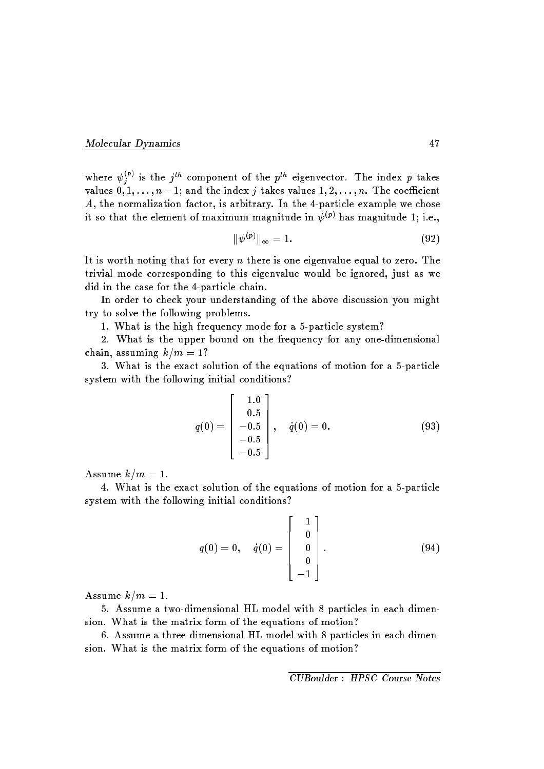where  $\psi_i^{(p)}$  $j^{(p)}$  is the j<sup>th</sup> component of the  $p^{th}$  eigenvector. The index p takes values  $0, 1, \ldots, n-1$ ; and the index j takes values  $1, 2, \ldots, n$ . The coefficient A, the normalization factor, is arbitrary. In the 4-particle example we chose it so that the element of maximum magnitude in  $\psi^{(p)}$  has magnitude 1; i.e.,

$$
\|\psi^{(p)}\|_{\infty} = 1.\tag{92}
$$

It is worth noting that for every n there is one eigenvalue equal to zero. The trivial mode corresponding to this eigenvalue would be ignored, just as we did in the case for the 4-particle chain.

In order to check your understanding of the above discussion you might try to solve the following problems.

1. What is the high frequency mode for a 5-particle system?

2. What is the upper bound on the frequency for any one-dimensional chain, assuming  $k/m = 1$ ?

3. What is the exact solution of the equations of motion for a 5-particle system with the following initial conditions?

$$
q(0) = \begin{bmatrix} 1.0 \\ 0.5 \\ -0.5 \\ -0.5 \\ -0.5 \end{bmatrix}, \quad \dot{q}(0) = 0.
$$
 (93)

Assume  $k/m = 1$ .

4. What is the exact solution of the equations of motion for a 5-particle system with the following initial conditions?

$$
q(0) = 0, \quad \dot{q}(0) = \begin{bmatrix} 1 \\ 0 \\ 0 \\ 0 \\ -1 \end{bmatrix}.
$$
 (94)

Assume  $k/m = 1$ .

5. Assume a two-dimensional HL model with 8 particles in each dimension. What is the matrix form of the equations of motion?

6. Assume a three-dimensional HL model with 8 particles in each dimension. What is the matrix form of the equations of motion?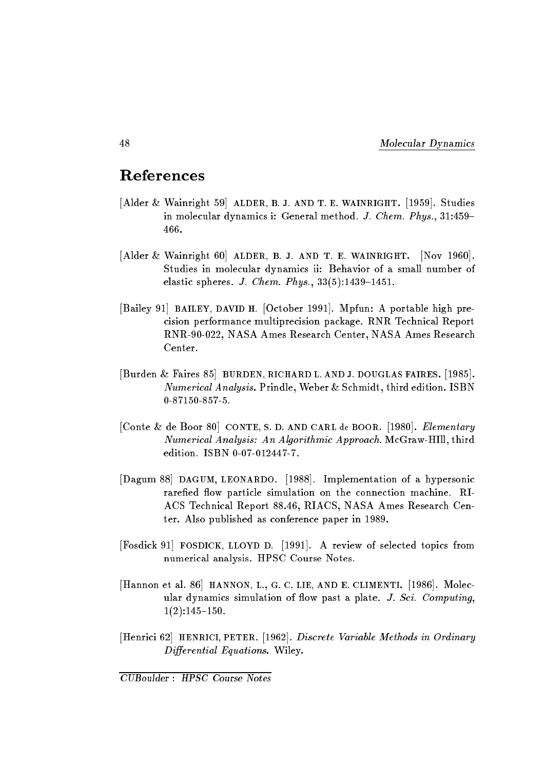#### **References** References

- [Alder & Wainright 59] ALDER, B. J. AND T. E. WAINRIGHT. [1959]. Studies in molecular dynamics i: General method. J. Chem. Phys.,  $31:459-$ 466.
- [Alder & Wainright 60] ALDER, B. J. AND T. E. WAINRIGHT. [Nov 1960]. Studies in molecular dynamics ii: Behavior of a small number of elastic spheres. J. Chem. Phys.,  $33(5):1439-1451$ .
- [Bailey 91] BAILEY, DAVID H. [October 1991]. Mpfun: A portable high precision performance multiprecision package. RNR Technical Report RNR-90-022, NASA Ames Research Center, NASA Ames Research Center.
- [Burden & Faires 85] BURDEN, RICHARD L. AND J. DOUGLAS FAIRES. [1985]. Numerical Analysis. Prindle, Weber & Schmidt, third edition. ISBN 0-87150-857-5.
- [Conte & de Boor 80] CONTE, S. D. AND CARL de BOOR. [1980]. Elementary Numerical Analysis: An Algorithmic Approach. McGraw-HIll, third edition. ISBN 0-07-012447-7.
- [Dagum 88] DAGUM, LEONARDO. [1988]. Implementation of a hypersonic rarefied flow particle simulation on the connection machine. RI-ACS Technical Report 88.46, RIACS, NASA Ames Research Center. Also published as conference paper in 1989.
- [Fosdick 91] FOSDICK, LLOYD D. [1991]. A review of selected topics from numerical analysis. HPSC Course Notes.
- [Hannon et al. 86] HANNON, L., G. C. LIE, AND E. CLIMENTI. [1986]. Molecular dynamics simulation of flow past a plate. J. Sci. Computing,  $1(2):145{-}150.$
- [Henrici 62] HENRICI, PETER. [1962]. Discrete Variable Methods in Ordinary Differential Equations. Wiley.